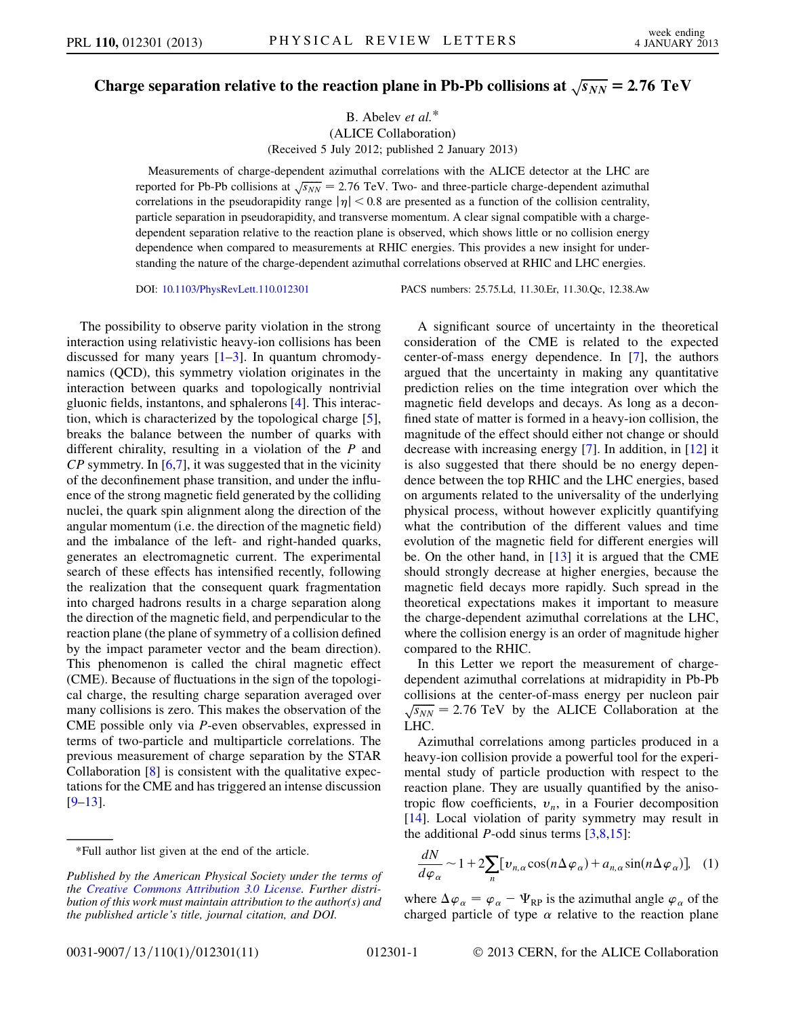## Charge separation relative to the reaction plane in Pb-Pb collisions at  $\sqrt{s_{NN}} = 2.76 \text{ TeV}$

B. Abelev et al.\* (ALICE Collaboration) (Received 5 July 2012; published 2 January 2013)

Measurements of charge-dependent azimuthal correlations with the ALICE detector at the LHC are measurements or charge-dependent azimuthal correlations with the AEICE detector at the EFIC are<br>reported for Pb-Pb collisions at  $\sqrt{s_{NN}}$  = 2.76 TeV. Two- and three-particle charge-dependent azimuthal<br>correlations in the correlations in the pseudorapidity range  $|\eta| < 0.8$  are presented as a function of the collision centrality, particle separation in pseudorapidity, and transverse momentum. A clear signal compatible with a chargedependent separation relative to the reaction plane is observed, which shows little or no collision energy dependence when compared to measurements at RHIC energies. This provides a new insight for understanding the nature of the charge-dependent azimuthal correlations observed at RHIC and LHC energies.

DOI: [10.1103/PhysRevLett.110.012301](http://dx.doi.org/10.1103/PhysRevLett.110.012301) PACS numbers: 25.75.Ld, 11.30.Er, 11.30.Qc, 12.38.Aw

The possibility to observe parity violation in the strong interaction using relativistic heavy-ion collisions has been discussed for many years  $[1-3]$  $[1-3]$  $[1-3]$ . In quantum chromodynamics (QCD), this symmetry violation originates in the interaction between quarks and topologically nontrivial gluonic fields, instantons, and sphalerons [[4](#page-4-2)]. This interaction, which is characterized by the topological charge [[5\]](#page-4-3), breaks the balance between the number of quarks with different chirality, resulting in a violation of the P and  $CP$  symmetry. In  $[6,7]$  $[6,7]$  $[6,7]$ , it was suggested that in the vicinity of the deconfinement phase transition, and under the influence of the strong magnetic field generated by the colliding nuclei, the quark spin alignment along the direction of the angular momentum (i.e. the direction of the magnetic field) and the imbalance of the left- and right-handed quarks, generates an electromagnetic current. The experimental search of these effects has intensified recently, following the realization that the consequent quark fragmentation into charged hadrons results in a charge separation along the direction of the magnetic field, and perpendicular to the reaction plane (the plane of symmetry of a collision defined by the impact parameter vector and the beam direction). This phenomenon is called the chiral magnetic effect (CME). Because of fluctuations in the sign of the topological charge, the resulting charge separation averaged over many collisions is zero. This makes the observation of the CME possible only via P-even observables, expressed in terms of two-particle and multiparticle correlations. The previous measurement of charge separation by the STAR Collaboration [\[8\]](#page-4-6) is consistent with the qualitative expectations for the CME and has triggered an intense discussion  $[9-13]$  $[9-13]$  $[9-13]$ .

A significant source of uncertainty in the theoretical consideration of the CME is related to the expected center-of-mass energy dependence. In [\[7\]](#page-4-5), the authors argued that the uncertainty in making any quantitative prediction relies on the time integration over which the magnetic field develops and decays. As long as a deconfined state of matter is formed in a heavy-ion collision, the magnitude of the effect should either not change or should decrease with increasing energy [[7\]](#page-4-5). In addition, in [\[12\]](#page-5-2) it is also suggested that there should be no energy dependence between the top RHIC and the LHC energies, based on arguments related to the universality of the underlying physical process, without however explicitly quantifying what the contribution of the different values and time evolution of the magnetic field for different energies will be. On the other hand, in [\[13\]](#page-5-1) it is argued that the CME should strongly decrease at higher energies, because the magnetic field decays more rapidly. Such spread in the theoretical expectations makes it important to measure the charge-dependent azimuthal correlations at the LHC, where the collision energy is an order of magnitude higher compared to the RHIC.

In this Letter we report the measurement of chargedependent azimuthal correlations at midrapidity in Pb-Pb collisions at the center-of-mass energy per nucleon pair  $\sqrt{s_{NN}}$  = 2.76 TeV by the ALICE Collaboration at the LHC.

Azimuthal correlations among particles produced in a heavy-ion collision provide a powerful tool for the experimental study of particle production with respect to the reaction plane. They are usually quantified by the anisotropic flow coefficients,  $v_n$ , in a Fourier decomposition [\[14\]](#page-5-3). Local violation of parity symmetry may result in the additional *P*-odd sinus terms  $[3,8,15]$  $[3,8,15]$  $[3,8,15]$  $[3,8,15]$  $[3,8,15]$ :

$$
\frac{dN}{d\varphi_{\alpha}} \sim 1 + 2 \sum_{n} [v_{n,\alpha} \cos(n\Delta\varphi_{\alpha}) + a_{n,\alpha} \sin(n\Delta\varphi_{\alpha})], \quad (1)
$$

where  $\Delta \varphi_{\alpha} = \varphi_{\alpha} - \Psi_{RP}$  is the azimuthal angle  $\varphi_{\alpha}$  of the charged particle of type  $\alpha$  relative to the reaction plane charged particle of type  $\alpha$  relative to the reaction plane

<sup>\*</sup>Full author list given at the end of the article.

Published by the American Physical Society under the terms of the [Creative Commons Attribution 3.0 License.](http://creativecommons.org/licenses/by/3.0/) Further distribution of this work must maintain attribution to the author(s) and the published article's title, journal citation, and DOI.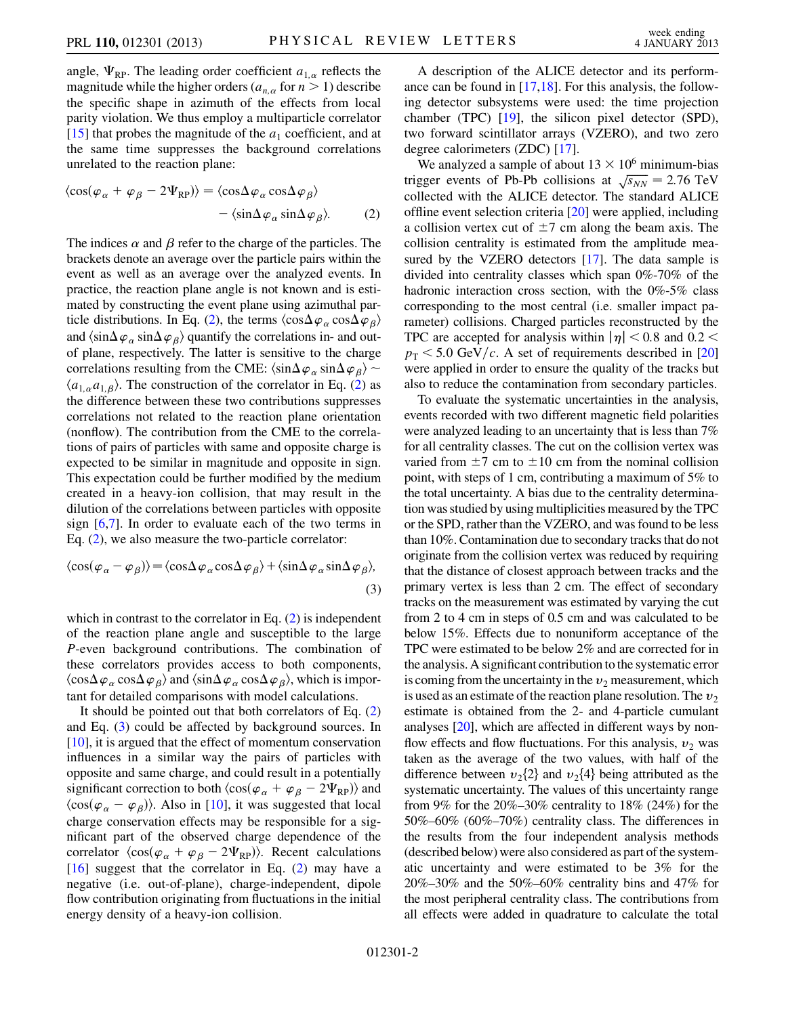angle,  $\Psi_{\text{RP}}$ . The leading order coefficient  $a_{1,\alpha}$  reflects the magnitude while the higher orders ( $a_{n,\alpha}$  for  $n > 1$ ) describe the specific shape in azimuth of the effects from local parity violation. We thus employ a multiparticle correlator [\[15\]](#page-5-4) that probes the magnitude of the  $a_1$  coefficient, and at the same time suppresses the background correlations unrelated to the reaction plane:

<span id="page-1-0"></span>
$$
\langle \cos(\varphi_{\alpha} + \varphi_{\beta} - 2\Psi_{\rm RP}) \rangle = \langle \cos\Delta \varphi_{\alpha} \cos\Delta \varphi_{\beta} \rangle - \langle \sin\Delta \varphi_{\alpha} \sin\Delta \varphi_{\beta} \rangle.
$$
 (2)

The indices  $\alpha$  and  $\beta$  refer to the charge of the particles. The brackets denote an average over the particle pairs within the event as well as an average over the analyzed events. In practice, the reaction plane angle is not known and is estimated by constructing the event plane using azimuthal par-ticle distributions. In Eq. ([2\)](#page-1-0), the terms  $\langle \cos\Delta\varphi_{\alpha} \cos\Delta\varphi_{\beta} \rangle$ and  $\langle \sin \Delta \varphi_a \sin \Delta \varphi_\beta \rangle$  quantify the correlations in- and out-<br>of plane, respectively. The latter is sensitive to the charge of plane, respectively. The latter is sensitive to the charge correlations resulting from the CME:  $\langle \sin \Delta \varphi_a \sin \Delta \varphi_\beta \rangle$  $\langle a_{1,\alpha}a_{1,\beta}\rangle$ . The construction of the correlator in Eq. [\(2\)](#page-1-0) as<br>the difference between these two contributions suppresses the difference between these two contributions suppresses correlations not related to the reaction plane orientation (nonflow). The contribution from the CME to the correlations of pairs of particles with same and opposite charge is expected to be similar in magnitude and opposite in sign. This expectation could be further modified by the medium created in a heavy-ion collision, that may result in the dilution of the correlations between particles with opposite sign [[6](#page-4-4),[7\]](#page-4-5). In order to evaluate each of the two terms in Eq. [\(2\)](#page-1-0), we also measure the two-particle correlator:

<span id="page-1-1"></span>
$$
\langle \cos(\varphi_{\alpha} - \varphi_{\beta}) \rangle = \langle \cos\Delta \varphi_{\alpha} \cos\Delta \varphi_{\beta} \rangle + \langle \sin\Delta \varphi_{\alpha} \sin\Delta \varphi_{\beta} \rangle, \tag{3}
$$

which in contrast to the correlator in Eq.  $(2)$  is independent of the reaction plane angle and susceptible to the large P-even background contributions. The combination of these correlators provides access to both components,  $\langle \cos\Delta\varphi_{\alpha} \cos\Delta\varphi_{\beta} \rangle$  and  $\langle \sin\Delta\varphi_{\alpha} \cos\Delta\varphi_{\beta} \rangle$ , which is important for detailed comparisons with model calculations.

It should be pointed out that both correlators of Eq. [\(2\)](#page-1-0) and Eq. [\(3\)](#page-1-1) could be affected by background sources. In [\[10\]](#page-5-5), it is argued that the effect of momentum conservation influences in a similar way the pairs of particles with opposite and same charge, and could result in a potentially significant correction to both  $\langle \cos(\varphi_{\alpha} + \varphi_{\beta} - 2\Psi_{\rm RP}) \rangle$  and  $\langle \cos(\varphi_{\alpha} - \varphi_{\rm SP}) \rangle$ . Also in [10] it was suggested that local  $\langle \cos(\varphi_{\alpha} - \varphi_{\beta}) \rangle$ . Also in [[10\]](#page-5-5), it was suggested that local charge conservation effects may be responsible for a sigcharge conservation effects may be responsible for a significant part of the observed charge dependence of the correlator  $\langle \cos(\varphi_{\alpha} + \varphi_{\beta} - 2\Psi_{\rm RP}) \rangle$ . Recent calculations [\[16\]](#page-5-6) suggest that the correlator in Eq. ([2](#page-1-0)) may have a negative (i.e. out-of-plane), charge-independent, dipole flow contribution originating from fluctuations in the initial energy density of a heavy-ion collision.

A description of the ALICE detector and its performance can be found in [[17](#page-5-7)[,18](#page-5-8)]. For this analysis, the following detector subsystems were used: the time projection chamber (TPC) [[19](#page-5-9)], the silicon pixel detector (SPD), two forward scintillator arrays (VZERO), and two zero degree calorimeters (ZDC) [\[17\]](#page-5-7).

We analyzed a sample of about  $13 \times 10^6$  minimum-bias we analyzed a sample of about  $13 \times 10^6$  minimum-bias<br>trigger events of Pb-Pb collisions at  $\sqrt{s_{NN}} = 2.76$  TeV<br>collected with the ALICE detector. The standard ALICE collected with the ALICE detector. The standard ALICE offline event selection criteria [\[20\]](#page-5-10) were applied, including a collision vertex cut of  $\pm 7$  cm along the beam axis. The collision centrality is estimated from the amplitude mea-sured by the VZERO detectors [[17\]](#page-5-7). The data sample is divided into centrality classes which span 0%-70% of the hadronic interaction cross section, with the 0%-5% class corresponding to the most central (i.e. smaller impact parameter) collisions. Charged particles reconstructed by the TPC are accepted for analysis within  $|\eta|$  < 0.8 and 0.2 <  $p_{\rm T}$  < 5.0 GeV/c. A set of requirements described in [\[20\]](#page-5-10) were applied in order to ensure the quality of the tracks but also to reduce the contamination from secondary particles.

To evaluate the systematic uncertainties in the analysis, events recorded with two different magnetic field polarities were analyzed leading to an uncertainty that is less than 7% for all centrality classes. The cut on the collision vertex was varied from  $\pm 7$  cm to  $\pm 10$  cm from the nominal collision point, with steps of 1 cm, contributing a maximum of 5% to the total uncertainty. A bias due to the centrality determination was studied by using multiplicities measured by the TPC or the SPD, rather than the VZERO, and was found to be less than 10%. Contamination due to secondary tracks that do not originate from the collision vertex was reduced by requiring that the distance of closest approach between tracks and the primary vertex is less than 2 cm. The effect of secondary tracks on the measurement was estimated by varying the cut from 2 to 4 cm in steps of 0.5 cm and was calculated to be below 15%. Effects due to nonuniform acceptance of the TPC were estimated to be below 2% and are corrected for in the analysis. A significant contribution tothe systematic error is coming from the uncertainty in the  $v_2$  measurement, which is used as an estimate of the reaction plane resolution. The  $v_2$ estimate is obtained from the 2- and 4-particle cumulant analyses [\[20](#page-5-10)], which are affected in different ways by nonflow effects and flow fluctuations. For this analysis,  $v_2$  was taken as the average of the two values, with half of the difference between  $v_2$ {2} and  $v_2$ {4} being attributed as the systematic uncertainty. The values of this uncertainty range from 9% for the 20%–30% centrality to 18% (24%) for the 50%–60% (60%–70%) centrality class. The differences in the results from the four independent analysis methods (described below) were also considered as part of the systematic uncertainty and were estimated to be 3% for the 20%–30% and the 50%–60% centrality bins and 47% for the most peripheral centrality class. The contributions from all effects were added in quadrature to calculate the total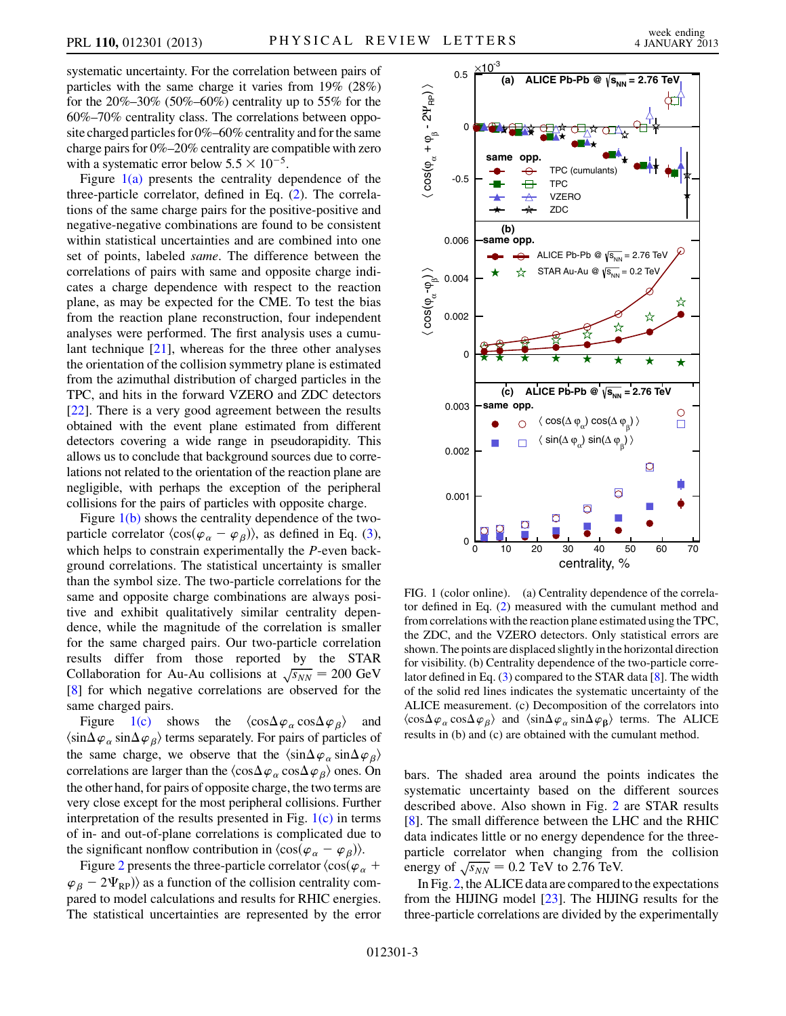systematic uncertainty. For the correlation between pairs of particles with the same charge it varies from 19% (28%) for the  $20\% - 30\%$  (50%–60%) centrality up to 55% for the 60%–70% centrality class. The correlations between opposite charged particles for 0%–60% centrality and for the same charge pairs for 0%–20% centrality are compatible with zero with a systematic error below  $5.5 \times 10^{-5}$ .

Figure  $1(a)$  presents the centrality dependence of the three-particle correlator, defined in Eq. [\(2\)](#page-1-0). The correlations of the same charge pairs for the positive-positive and negative-negative combinations are found to be consistent within statistical uncertainties and are combined into one set of points, labeled same. The difference between the correlations of pairs with same and opposite charge indicates a charge dependence with respect to the reaction plane, as may be expected for the CME. To test the bias from the reaction plane reconstruction, four independent analyses were performed. The first analysis uses a cumulant technique [[21](#page-5-11)], whereas for the three other analyses the orientation of the collision symmetry plane is estimated from the azimuthal distribution of charged particles in the TPC, and hits in the forward VZERO and ZDC detectors [\[22\]](#page-5-12). There is a very good agreement between the results obtained with the event plane estimated from different detectors covering a wide range in pseudorapidity. This allows us to conclude that background sources due to correlations not related to the orientation of the reaction plane are negligible, with perhaps the exception of the peripheral collisions for the pairs of particles with opposite charge.

Figure [1\(b\)](#page-2-0) shows the centrality dependence of the twoparticle correlator  $\langle \cos(\varphi_{\alpha} - \varphi_{\beta}) \rangle$ , as defined in Eq. ([3\)](#page-1-1),<br>which helps to constrain experimentally the *P*-eyen backwhich helps to constrain experimentally the P-even background correlations. The statistical uncertainty is smaller than the symbol size. The two-particle correlations for the same and opposite charge combinations are always positive and exhibit qualitatively similar centrality dependence, while the magnitude of the correlation is smaller for the same charged pairs. Our two-particle correlation results differ from those reported by the STAR results differ from those reported by the STAR<br>Collaboration for Au-Au collisions at  $\sqrt{s_{NN}} = 200 \text{ GeV}$ <br>[81 for which negative correlations are observed for the [\[8\]](#page-4-6) for which negative correlations are observed for the same charged pairs.

Figure  $1(c)$  shows the  $\langle \cos \Delta \varphi_a \cos \Delta \varphi_\beta \rangle$  and<br>n $\Delta (c)$  sin $\Delta (c)$  terms separately. For pairs of particles of  $\langle \sin \Delta \varphi_{\alpha} \sin \Delta \varphi_{\beta} \rangle$  terms separately. For pairs of particles of the same charge we observe that the  $\langle \sin \Delta \varphi_{\alpha} \sin \Delta \varphi_{\alpha} \rangle$ the same charge, we observe that the  $\langle \sin \Delta \varphi_a \sin \Delta \varphi_\beta \rangle$ correlations are larger than the  $\langle \cos \Delta \varphi_a \cos \Delta \varphi_\beta \rangle$  ones. On<br>the other hand, for pairs of opposite charge, the two terms are the other hand, for pairs of opposite charge, the two terms are very close except for the most peripheral collisions. Further interpretation of the results presented in Fig.  $1(c)$  in terms of in- and out-of-plane correlations is complicated due to the significant nonflow contribution in  $\langle \cos(\varphi_{\alpha} - \varphi_{\beta}) \rangle$ .<br>Figure 2 presents the three-particle correlator  $\langle \cos(\varphi_{\alpha} - \varphi_{\beta}) \rangle$ .

Figure [2](#page-3-0) presents the three-particle correlator  $\langle \cos(\varphi_{\alpha} +$  $\varphi_{\beta}$  – 2 $\Psi_{RP}$ ) as a function of the collision centrality com-<br>pared to model calculations and results for PHIC energies. pared to model calculations and results for RHIC energies. The statistical uncertainties are represented by the error



<span id="page-2-0"></span>FIG. 1 (color online). (a) Centrality dependence of the correlator defined in Eq. [\(2\)](#page-1-0) measured with the cumulant method and from correlations with the reaction plane estimated using the TPC, the ZDC, and the VZERO detectors. Only statistical errors are shown. The points are displaced slightly in the horizontal direction for visibility. (b) Centrality dependence of the two-particle correlator defined in Eq. [\(3](#page-1-1)) compared to the STAR data [[8](#page-4-6)]. The width of the solid red lines indicates the systematic uncertainty of the ALICE measurement. (c) Decomposition of the correlators into  $\langle \cos\Delta\varphi_{\alpha} \cos\Delta\varphi_{\beta} \rangle$  and  $\langle \sin\Delta\varphi_{\alpha} \sin\Delta\varphi_{\beta} \rangle$  terms. The ALICE results in (b) and (c) are obtained with the cumulant method.

bars. The shaded area around the points indicates the systematic uncertainty based on the different sources described above. Also shown in Fig. [2](#page-3-0) are STAR results [\[8\]](#page-4-6). The small difference between the LHC and the RHIC data indicates little or no energy dependence for the threeparticle correlator when changing from the collision particle correlator when changing from<br>
energy of  $\sqrt{s_{NN}}$  = 0.2 TeV to 2.76 TeV.<br>
In Fig. 2, the ALICE data are compared

In Fig. [2,](#page-3-0) the ALICE data are compared to the expectations from the HIJING model [[23](#page-5-13)]. The HIJING results for the three-particle correlations are divided by the experimentally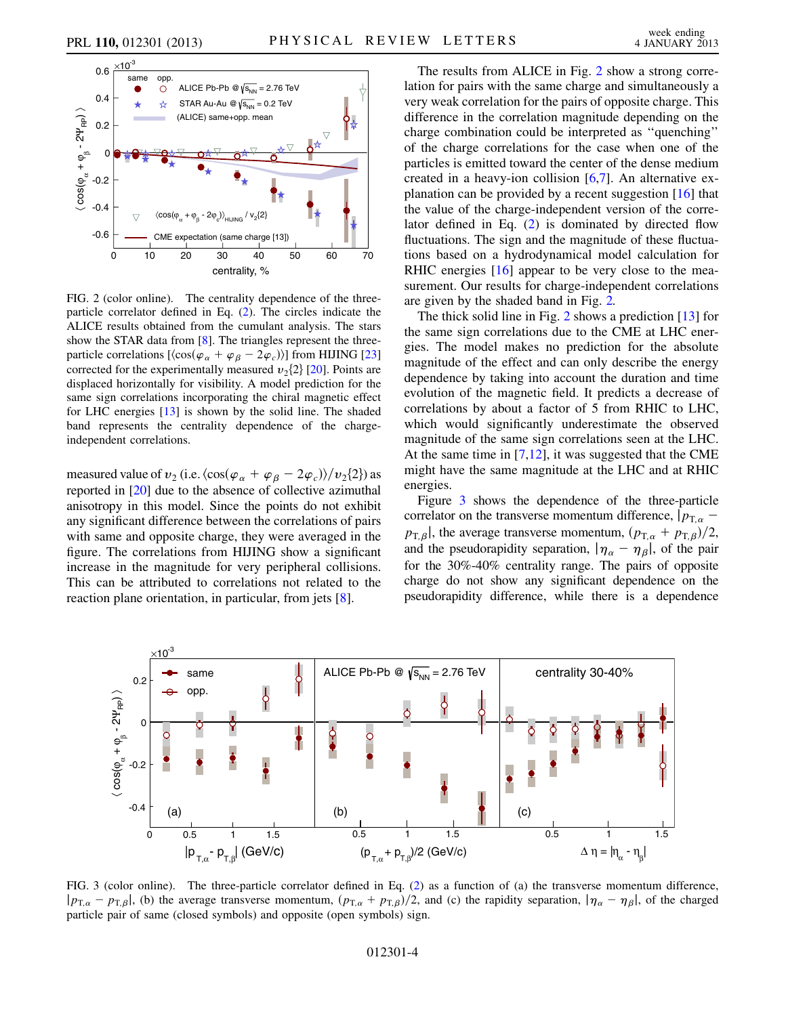<span id="page-3-0"></span>

FIG. 2 (color online). The centrality dependence of the threeparticle correlator defined in Eq. [\(2\)](#page-1-0). The circles indicate the ALICE results obtained from the cumulant analysis. The stars show the STAR data from [\[8](#page-4-6)]. The triangles represent the threeparticle correlations  $\left[ \langle \cos(\varphi_{\alpha} + \varphi_{\beta} - 2\varphi_{c}) \rangle \right]$  from HIJING [\[23\]](#page-5-13) corrected for the experimentally measured  $v_2$ {2} [[20](#page-5-10)]. Points are displaced horizontally for visibility. A model prediction for the same sign correlations incorporating the chiral magnetic effect for LHC energies [\[13\]](#page-5-1) is shown by the solid line. The shaded band represents the centrality dependence of the chargeindependent correlations.

measured value of  $v_2$  (i.e.  $\langle \cos(\varphi_\alpha + \varphi_\beta - 2\varphi_c) \rangle / v_2{\{2\}}$ ) as reported in [\[20](#page-5-10)] due to the absence of collective azimuthal anisotropy in this model. Since the points do not exhibit any significant difference between the correlations of pairs with same and opposite charge, they were averaged in the figure. The correlations from HIJING show a significant increase in the magnitude for very peripheral collisions. This can be attributed to correlations not related to the reaction plane orientation, in particular, from jets [[8](#page-4-6)].

The results from ALICE in Fig. [2](#page-3-0) show a strong correlation for pairs with the same charge and simultaneously a very weak correlation for the pairs of opposite charge. This difference in the correlation magnitude depending on the charge combination could be interpreted as ''quenching'' of the charge correlations for the case when one of the particles is emitted toward the center of the dense medium created in a heavy-ion collision  $[6,7]$  $[6,7]$  $[6,7]$  $[6,7]$ . An alternative explanation can be provided by a recent suggestion [\[16\]](#page-5-6) that the value of the charge-independent version of the correlator defined in Eq. ([2\)](#page-1-0) is dominated by directed flow fluctuations. The sign and the magnitude of these fluctuations based on a hydrodynamical model calculation for RHIC energies [\[16\]](#page-5-6) appear to be very close to the measurement. Our results for charge-independent correlations are given by the shaded band in Fig. [2.](#page-3-0)

The thick solid line in Fig. [2](#page-3-0) shows a prediction [\[13\]](#page-5-1) for the same sign correlations due to the CME at LHC energies. The model makes no prediction for the absolute magnitude of the effect and can only describe the energy dependence by taking into account the duration and time evolution of the magnetic field. It predicts a decrease of correlations by about a factor of 5 from RHIC to LHC, which would significantly underestimate the observed magnitude of the same sign correlations seen at the LHC. At the same time in  $[7,12]$  $[7,12]$  $[7,12]$ , it was suggested that the CME might have the same magnitude at the LHC and at RHIC energies.

Figure [3](#page-3-1) shows the dependence of the three-particle correlator on the transverse momentum difference,  $|p_{T,\alpha}$  $p_{\text{T},\beta}$ , the average transverse momentum,  $(p_{\text{T},\alpha} + p_{\text{T},\beta})/2$ , and the pseudorapidity separation,  $|\eta_{\alpha} - \eta_{\beta}|$ , of the pair<br>for the 30% 40% centrality range. The pairs of opposite for the 30%-40% centrality range. The pairs of opposite charge do not show any significant dependence on the pseudorapidity difference, while there is a dependence

<span id="page-3-1"></span>

FIG. 3 (color online). The three-particle correlator defined in Eq. [\(2](#page-1-0)) as a function of (a) the transverse momentum difference,  $|p_{\text{T},\alpha} - p_{\text{T},\beta}|$ , (b) the average transverse momentum,  $(p_{\text{T},\alpha} + p_{\text{T},\beta})/2$ , and (c) the rapidity separation,  $|\eta_{\alpha} - \eta_{\beta}|$ , of the charged particle pair of same (closed symbols) and opposite (open symbols) sign.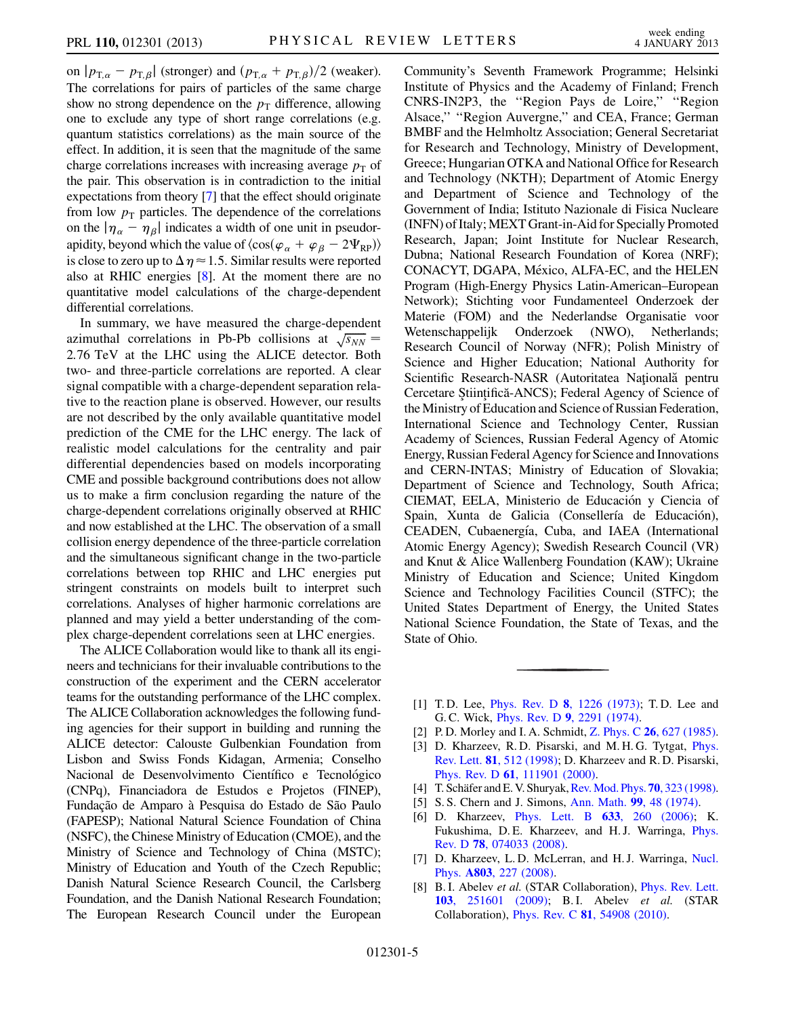on  $|p_{\text{T},\alpha} - p_{\text{T},\beta}|$  (stronger) and  $(p_{\text{T},\alpha} + p_{\text{T},\beta})/2$  (weaker).<br>The correlations for pairs of particles of the same charge The correlations for pairs of particles of the same charge show no strong dependence on the  $p<sub>T</sub>$  difference, allowing one to exclude any type of short range correlations (e.g. quantum statistics correlations) as the main source of the effect. In addition, it is seen that the magnitude of the same charge correlations increases with increasing average  $p<sub>T</sub>$  of the pair. This observation is in contradiction to the initial expectations from theory [\[7\]](#page-4-5) that the effect should originate from low  $p_T$  particles. The dependence of the correlations on the  $|\eta_{\alpha} - \eta_{\beta}|$  indicates a width of one unit in pseudor-<br>anidity beyond which the value of  $(\cos(\omega_{\alpha} + \omega_{\alpha} - 2W))$ apidity, beyond which the value of  $\langle \cos(\varphi_{\alpha} + \varphi_{\beta} - 2\Psi \rangle)$ aplatly, beyond which the value of  $\langle \cos(\varphi_{\alpha} + \varphi_{\beta} - 2 \varphi_{RP}) \rangle$ <br>is close to zero up to  $\Delta \eta \approx 1.5$ . Similar results were reported<br>also at RHIC energies [8]. At the moment there are no also at RHIC energies [\[8](#page-4-6)]. At the moment there are no quantitative model calculations of the charge-dependent differential correlations.

In summary, we have measured the charge-dependent In summary, we nave measured the charge-dependent<br>azimuthal correlations in Pb-Pb collisions at  $\sqrt{s_{NN}}$  =<br>2.76 TeV at the LHC using the ALICE detector. Both 2:76 TeV at the LHC using the ALICE detector. Both two- and three-particle correlations are reported. A clear signal compatible with a charge-dependent separation relative to the reaction plane is observed. However, our results are not described by the only available quantitative model prediction of the CME for the LHC energy. The lack of realistic model calculations for the centrality and pair differential dependencies based on models incorporating CME and possible background contributions does not allow us to make a firm conclusion regarding the nature of the charge-dependent correlations originally observed at RHIC and now established at the LHC. The observation of a small collision energy dependence of the three-particle correlation and the simultaneous significant change in the two-particle correlations between top RHIC and LHC energies put stringent constraints on models built to interpret such correlations. Analyses of higher harmonic correlations are planned and may yield a better understanding of the complex charge-dependent correlations seen at LHC energies.

The ALICE Collaboration would like to thank all its engineers and technicians for their invaluable contributions to the construction of the experiment and the CERN accelerator teams for the outstanding performance of the LHC complex. The ALICE Collaboration acknowledges the following funding agencies for their support in building and running the ALICE detector: Calouste Gulbenkian Foundation from Lisbon and Swiss Fonds Kidagan, Armenia; Conselho Nacional de Desenvolvimento Científico e Tecnológico (CNPq), Financiadora de Estudos e Projetos (FINEP), Fundação de Amparo à Pesquisa do Estado de São Paulo (FAPESP); National Natural Science Foundation of China (NSFC), the Chinese Ministry of Education (CMOE), and the Ministry of Science and Technology of China (MSTC); Ministry of Education and Youth of the Czech Republic; Danish Natural Science Research Council, the Carlsberg Foundation, and the Danish National Research Foundation; The European Research Council under the European Community's Seventh Framework Programme; Helsinki Institute of Physics and the Academy of Finland; French CNRS-IN2P3, the ''Region Pays de Loire,'' ''Region Alsace," "Region Auvergne," and CEA, France; German BMBF and the Helmholtz Association; General Secretariat for Research and Technology, Ministry of Development, Greece; Hungarian OTKA and National Office for Research and Technology (NKTH); Department of Atomic Energy and Department of Science and Technology of the Government of India; Istituto Nazionale di Fisica Nucleare (INFN) of Italy; MEXT Grant-in-Aid for Specially Promoted Research, Japan; Joint Institute for Nuclear Research, Dubna; National Research Foundation of Korea (NRF); CONACYT, DGAPA, México, ALFA-EC, and the HELEN Program (High-Energy Physics Latin-American–European Network); Stichting voor Fundamenteel Onderzoek der Materie (FOM) and the Nederlandse Organisatie voor Wetenschappelijk Onderzoek (NWO), Netherlands; Research Council of Norway (NFR); Polish Ministry of Science and Higher Education; National Authority for Scientific Research-NASR (Autoritatea Națională pentru Cercetare Științifică-ANCS); Federal Agency of Science of the Ministry of Education and Science of Russian Federation, International Science and Technology Center, Russian Academy of Sciences, Russian Federal Agency of Atomic Energy, Russian Federal Agency for Science and Innovations and CERN-INTAS; Ministry of Education of Slovakia; Department of Science and Technology, South Africa; CIEMAT, EELA, Ministerio de Educación y Ciencia of Spain, Xunta de Galicia (Consellería de Educación), CEADEN, Cubaenergía, Cuba, and IAEA (International Atomic Energy Agency); Swedish Research Council (VR) and Knut & Alice Wallenberg Foundation (KAW); Ukraine Ministry of Education and Science; United Kingdom Science and Technology Facilities Council (STFC); the United States Department of Energy, the United States National Science Foundation, the State of Texas, and the State of Ohio.

- <span id="page-4-0"></span>[1] T.D. Lee, *Phys. Rev. D 8, 1226 (1973)*; T.D. Lee and G. C. Wick, Phys. Rev. D 9[, 2291 \(1974\).](http://dx.doi.org/10.1103/PhysRevD.9.2291)
- <span id="page-4-1"></span>[2] P. D. Morley and I. A. Schmidt, Z. Phys. C 26[, 627 \(1985\).](http://dx.doi.org/10.1007/BF01551807)
- [3] D. Kharzeev, R.D. Pisarski, and M.H.G. Tytgat, [Phys.](http://dx.doi.org/10.1103/PhysRevLett.81.512) Rev. Lett. 81[, 512 \(1998\);](http://dx.doi.org/10.1103/PhysRevLett.81.512) D. Kharzeev and R. D. Pisarski, Phys. Rev. D 61[, 111901 \(2000\).](http://dx.doi.org/10.1103/PhysRevD.61.111901)
- <span id="page-4-3"></span><span id="page-4-2"></span>[4] T. Schäfer and E. V. Shuryak, Rev. Mod. Phys. **70**, 323 (1998).
- <span id="page-4-4"></span>[5] S. S. Chern and J. Simons, [Ann. Math.](http://dx.doi.org/10.2307/1971013) 99, 48 (1974).
- [6] D. Kharzeev, [Phys. Lett. B](http://dx.doi.org/10.1016/j.physletb.2005.11.075) 633, 260 (2006); K. Fukushima, D. E. Kharzeev, and H. J. Warringa, [Phys.](http://dx.doi.org/10.1103/PhysRevD.78.074033) Rev. D 78[, 074033 \(2008\)](http://dx.doi.org/10.1103/PhysRevD.78.074033).
- <span id="page-4-6"></span><span id="page-4-5"></span>[7] D. Kharzeev, L. D. McLerran, and H. J. Warringa, [Nucl.](http://dx.doi.org/10.1016/j.nuclphysa.2008.02.298) Phys. A803[, 227 \(2008\)](http://dx.doi.org/10.1016/j.nuclphysa.2008.02.298).
- [8] B. I. Abelev et al. (STAR Collaboration), *[Phys. Rev. Lett.](http://dx.doi.org/10.1103/PhysRevLett.103.251601)* 103[, 251601 \(2009\);](http://dx.doi.org/10.1103/PhysRevLett.103.251601) B.I. Abelev et al. (STAR Collaboration), Phys. Rev. C 81[, 54908 \(2010\)](http://dx.doi.org/10.1103/PhysRevC.81.054908).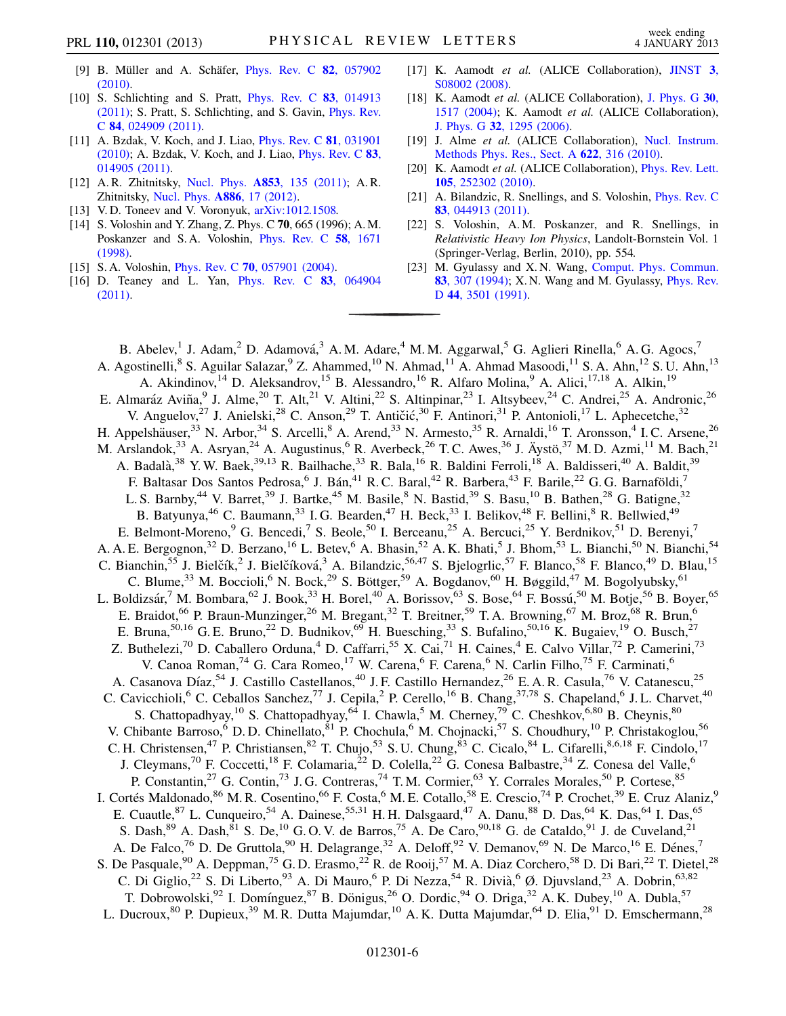- <span id="page-5-0"></span>[9] B. Müller and A. Schäfer, *[Phys. Rev. C](http://dx.doi.org/10.1103/PhysRevC.82.057902)* 82, 057902 [\(2010\)](http://dx.doi.org/10.1103/PhysRevC.82.057902).
- <span id="page-5-5"></span>[10] S. Schlichting and S. Pratt, *[Phys. Rev. C](http://dx.doi.org/10.1103/PhysRevC.83.014913)* **83**, 014913 [\(2011\)](http://dx.doi.org/10.1103/PhysRevC.83.014913); S. Pratt, S. Schlichting, and S. Gavin, [Phys. Rev.](http://dx.doi.org/10.1103/PhysRevC.84.024909) <sup>C</sup> 84[, 024909 \(2011\).](http://dx.doi.org/10.1103/PhysRevC.84.024909)
- [11] A. Bzdak, V. Koch, and J. Liao, *[Phys. Rev. C](http://dx.doi.org/10.1103/PhysRevC.81.031901)* **81**, 031901 [\(2010\)](http://dx.doi.org/10.1103/PhysRevC.81.031901); A. Bzdak, V. Koch, and J. Liao, [Phys. Rev. C](http://dx.doi.org/10.1103/PhysRevC.83.014905) 83, [014905 \(2011\)](http://dx.doi.org/10.1103/PhysRevC.83.014905).
- <span id="page-5-2"></span>[12] A. R. Zhitnitsky, Nucl. Phys. **A853**[, 135 \(2011\);](http://dx.doi.org/10.1016/j.nuclphysa.2011.01.020) A. R. Zhitnitsky, [Nucl. Phys.](http://dx.doi.org/10.1016/j.nuclphysa.2012.05.003) A886, 17 (2012).
- <span id="page-5-1"></span>[13] V.D. Toneev and V. Voronyuk, [arXiv:1012.1508.](http://arXiv.org/abs/1012.1508)
- <span id="page-5-3"></span>[14] S. Voloshin and Y. Zhang, Z. Phys. C 70, 665 (1996); A. M. Poskanzer and S. A. Voloshin, [Phys. Rev. C](http://dx.doi.org/10.1103/PhysRevC.58.1671) 58, 1671 [\(1998\).](http://dx.doi.org/10.1103/PhysRevC.58.1671)
- <span id="page-5-4"></span>[15] S.A. Voloshin, *Phys. Rev. C* **70**[, 057901 \(2004\).](http://dx.doi.org/10.1103/PhysRevC.70.057901)
- <span id="page-5-6"></span>[16] D. Teaney and L. Yan, [Phys. Rev. C](http://dx.doi.org/10.1103/PhysRevC.83.064904) 83, 064904 [\(2011\)](http://dx.doi.org/10.1103/PhysRevC.83.064904).
- <span id="page-5-7"></span>[17] K. Aamodt et al. (ALICE Collaboration), [JINST](http://dx.doi.org/10.1088/1748-0221/3/08/S08002) 3, [S08002 \(2008\).](http://dx.doi.org/10.1088/1748-0221/3/08/S08002)
- <span id="page-5-8"></span>[18] K. Aamodt et al. (ALICE Collaboration), [J. Phys. G](http://dx.doi.org/10.1088/0954-3899/30/11/001) 30, [1517 \(2004\)](http://dx.doi.org/10.1088/0954-3899/30/11/001); K. Aamodt et al. (ALICE Collaboration), J. Phys. G 32[, 1295 \(2006\).](http://dx.doi.org/10.1088/0954-3899/32/10/001)
- <span id="page-5-9"></span>[19] J. Alme et al. (ALICE Collaboration), [Nucl. Instrum.](http://dx.doi.org/10.1016/j.nima.2010.04.042) [Methods Phys. Res., Sect. A](http://dx.doi.org/10.1016/j.nima.2010.04.042) 622, 316 (2010).
- <span id="page-5-10"></span>[20] K. Aamodt et al. (ALICE Collaboration), *[Phys. Rev. Lett.](http://dx.doi.org/10.1103/PhysRevLett.105.252302)* 105[, 252302 \(2010\)](http://dx.doi.org/10.1103/PhysRevLett.105.252302).
- <span id="page-5-11"></span>[21] A. Bilandzic, R. Snellings, and S. Voloshin, *[Phys. Rev. C](http://dx.doi.org/10.1103/PhysRevC.83.044913)* 83[, 044913 \(2011\)](http://dx.doi.org/10.1103/PhysRevC.83.044913).
- <span id="page-5-12"></span>[22] S. Voloshin, A. M. Poskanzer, and R. Snellings, in Relativistic Heavy Ion Physics, Landolt-Bornstein Vol. 1 (Springer-Verlag, Berlin, 2010), pp. 554.
- <span id="page-5-13"></span>[23] M. Gyulassy and X.N. Wang, [Comput. Phys. Commun.](http://dx.doi.org/10.1016/0010-4655(94)90057-4) 83[, 307 \(1994\)](http://dx.doi.org/10.1016/0010-4655(94)90057-4); X. N. Wang and M. Gyulassy, [Phys. Rev.](http://dx.doi.org/10.1103/PhysRevD.44.3501) D 44[, 3501 \(1991\).](http://dx.doi.org/10.1103/PhysRevD.44.3501)

B. Abelev,<sup>1</sup> J. Adam,<sup>2</sup> D. Adamová,<sup>3</sup> A.M. Adare,<sup>4</sup> M.M. Aggarwal,<sup>5</sup> G. Aglieri Rinella,<sup>6</sup> A.G. Agocs,<sup>7</sup> A. Agostinelli,<sup>8</sup> S. Aguilar Salazar,<sup>9</sup> Z. Ahammed,<sup>10</sup> N. Ahmad,<sup>11</sup> A. Ahmad Masoodi,<sup>11</sup> S. A. Ahn,<sup>12</sup> S. U. Ahn,<sup>13</sup> A. Akindinov,<sup>14</sup> D. Aleksandrov,<sup>15</sup> B. Alessandro,<sup>16</sup> R. Alfaro Molina,<sup>9</sup> A. Alici,<sup>17,18</sup> A. Alkin,<sup>19</sup> E. Almaráz Aviña, $\frac{9}{2}$  J. Alme,<sup>20</sup> T. Alt,<sup>21</sup> V. Altini,<sup>22</sup> S. Altinpinar,<sup>23</sup> I. Altsybeev,<sup>24</sup> C. Andrei,<sup>25</sup> A. Andronic,<sup>26</sup> V. Anguelov,<sup>27</sup> J. Anielski,<sup>28</sup> C. Anson,<sup>29</sup> T. Antičić,<sup>30</sup> F. Antinori,<sup>31</sup> P. Antonioli,<sup>17</sup> L. Aphecetche,<sup>32</sup> H. Appelshäuser,<sup>33</sup> N. Arbor,<sup>34</sup> S. Arcelli,<sup>8</sup> A. Arend,<sup>33</sup> N. Armesto,<sup>35</sup> R. Arnaldi,<sup>16</sup> T. Aronsson,<sup>4</sup> I.C. Arsene,<sup>26</sup> M. Arslandok,<sup>33</sup> A. Asryan,<sup>24</sup> A. Augustinus,<sup>6</sup> R. Averbeck,<sup>26</sup> T. C. Awes,<sup>36</sup> J. Äystö,<sup>37</sup> M. D. Azmi,<sup>11</sup> M. Bach,<sup>21</sup> A. Badalà,<sup>38</sup> Y.W. Baek,<sup>39,13</sup> R. Bailhache,<sup>33</sup> R. Bala,<sup>16</sup> R. Baldini Ferroli,<sup>18</sup> A. Baldisseri,<sup>40</sup> A. Baldit,<sup>39</sup> F. Baltasar Dos Santos Pedrosa,<sup>6</sup> J. Bán,<sup>41</sup> R. C. Baral,<sup>42</sup> R. Barbera,<sup>43</sup> F. Barile,<sup>22</sup> G. G. Barnaföldi,<sup>7</sup> L. S. Barnby,<sup>44</sup> V. Barret,<sup>39</sup> J. Bartke,<sup>45</sup> M. Basile,<sup>8</sup> N. Bastid,<sup>39</sup> S. Basu,<sup>10</sup> B. Bathen,<sup>28</sup> G. Batigne,<sup>32</sup> B. Batyunya,<sup>46</sup> C. Baumann,<sup>33</sup> I. G. Bearden,<sup>47</sup> H. Beck,<sup>33</sup> I. Belikov,<sup>48</sup> F. Bellini,<sup>8</sup> R. Bellwied,<sup>49</sup> E. Belmont-Moreno, <sup>9</sup> G. Bencedi, <sup>7</sup> S. Beole, <sup>50</sup> I. Berceanu, <sup>25</sup> A. Bercuci, <sup>25</sup> Y. Berdnikov, <sup>51</sup> D. Berenyi, <sup>7</sup> A. A. E. Bergognon,<sup>32</sup> D. Berzano,<sup>16</sup> L. Betev,<sup>6</sup> A. Bhasin,<sup>52</sup> A. K. Bhati,<sup>5</sup> J. Bhom,<sup>53</sup> L. Bianchi,<sup>50</sup> N. Bianchi,<sup>54</sup> C. Bianchin,<sup>55</sup> J. Bielčík,<sup>2</sup> J. Bielčíková,<sup>3</sup> A. Bilandzic,<sup>56,47</sup> S. Bjelogrlic,<sup>57</sup> F. Blanco,<sup>58</sup> F. Blanco,<sup>49</sup> D. Blau,<sup>15</sup> C. Blume,<sup>33</sup> M. Boccioli,<sup>6</sup> N. Bock,<sup>29</sup> S. Böttger,<sup>59</sup> A. Bogdanov,<sup>60</sup> H. Bøggild,<sup>47</sup> M. Bogolyubsky,<sup>61</sup> L. Boldizsár,<sup>7</sup> M. Bombara,<sup>62</sup> J. Book,<sup>33</sup> H. Borel,<sup>40</sup> A. Borissov,<sup>63</sup> S. Bose,<sup>64</sup> F. Bossú,<sup>50</sup> M. Botje,<sup>56</sup> B. Boyer,<sup>65</sup> E. Braidot,<sup>66</sup> P. Braun-Munzinger,<sup>26</sup> M. Bregant,<sup>32</sup> T. Breitner,<sup>59</sup> T. A. Browning,<sup>67</sup> M. Broz,<sup>68</sup> R. Brun,<sup>6</sup> E. Bruna,  $50,16$  G. E. Bruno,  $22$  D. Budnikov,  $69$  H. Buesching,  $33$  S. Bufalino,  $50,16$  K. Bugaiev,  $19$  O. Busch,  $27$ Z. Buthelezi,<sup>70</sup> D. Caballero Orduna,<sup>4</sup> D. Caffarri,<sup>55</sup> X. Cai,<sup>71</sup> H. Caines,<sup>4</sup> E. Calvo Villar,<sup>72</sup> P. Camerini,<sup>73</sup> V. Canoa Roman,<sup>74</sup> G. Cara Romeo,<sup>17</sup> W. Carena,<sup>6</sup> F. Carena,<sup>6</sup> N. Carlin Filho,<sup>75</sup> F. Carminati,<sup>6</sup> A. Casanova Díaz,<sup>54</sup> J. Castillo Castellanos,<sup>40</sup> J. F. Castillo Hernandez,<sup>26</sup> E. A. R. Casula,<sup>76</sup> V. Catanescu,<sup>25</sup> C. Cavicchioli,<sup>6</sup> C. Ceballos Sanchez,<sup>77</sup> J. Cepila,<sup>2</sup> P. Cerello,<sup>16</sup> B. Chang,<sup>37,78</sup> S. Chapeland,<sup>6</sup> J.L. Charvet,<sup>40</sup> S. Chattopadhyay,<sup>10</sup> S. Chattopadhyay,<sup>64</sup> I. Chawla,<sup>5</sup> M. Cherney,<sup>79</sup> C. Cheshkov,<sup>6,80</sup> B. Cheynis,<sup>80</sup> V. Chibante Barroso,<sup>6</sup> D. D. Chinellato,<sup>81</sup> P. Chochula,<sup>6</sup> M. Chojnacki,<sup>57</sup> S. Choudhury,<sup>10</sup> P. Christakoglou,<sup>56</sup> C. H. Christensen,<sup>47</sup> P. Christiansen,<sup>82</sup> T. Chujo,<sup>53</sup> S. U. Chung,<sup>83</sup> C. Cicalo,<sup>84</sup> L. Cifarelli,<sup>8,6,18</sup> F. Cindolo,<sup>17</sup> J. Cleymans,<sup>70</sup> F. Coccetti,<sup>18</sup> F. Colamaria,<sup>22</sup> D. Colella,<sup>22</sup> G. Conesa Balbastre,<sup>34</sup> Z. Conesa del Valle,<sup>6</sup> P. Constantin,<sup>27</sup> G. Contin,<sup>73</sup> J. G. Contreras,<sup>74</sup> T. M. Cormier,<sup>63</sup> Y. Corrales Morales,<sup>50</sup> P. Cortese,<sup>85</sup> I. Cortés Maldonado,<sup>86</sup> M. R. Cosentino,<sup>66</sup> F. Costa,<sup>6</sup> M. E. Cotallo,<sup>58</sup> E. Crescio,<sup>74</sup> P. Crochet,<sup>39</sup> E. Cruz Alaniz,<sup>9</sup> E. Cuautle, <sup>87</sup> L. Cunqueiro, <sup>54</sup> A. Dainese, <sup>55,31</sup> H. H. Dalsgaard, <sup>47</sup> A. Danu, <sup>88</sup> D. Das, <sup>64</sup> K. Das, <sup>64</sup> I. Das, <sup>65</sup> S. Dash,  $89$  A. Dash,  $81$  S. De,  $10$  G. O. V. de Barros,  $75$  A. De Caro,  $90,18$  G. de Cataldo,  $91$  J. de Cuveland,  $21$ A. De Falco,<sup>76</sup> D. De Gruttola,<sup>90</sup> H. Delagrange,<sup>32</sup> A. Deloff,<sup>92</sup> V. Demanov,<sup>69</sup> N. De Marco,<sup>16</sup> E. Dénes,<sup>7</sup> S. De Pasquale,<sup>90</sup> A. Deppman,<sup>75</sup> G. D. Erasmo,<sup>22</sup> R. de Rooij,<sup>57</sup> M. A. Diaz Corchero,<sup>58</sup> D. Di Bari,<sup>22</sup> T. Dietel,<sup>28</sup> C. Di Giglio,<sup>22</sup> S. Di Liberto,<sup>93</sup> A. Di Mauro,<sup>6</sup> P. Di Nezza,<sup>54</sup> R. Divià,<sup>6</sup> Ø. Djuvsland,<sup>23</sup> A. Dobrin,<sup>63,82</sup> T. Dobrowolski,<sup>92</sup> I. Domínguez,<sup>87</sup> B. Dönigus,<sup>26</sup> O. Dordic,<sup>94</sup> O. Driga,<sup>32</sup> A. K. Dubey,<sup>10</sup> A. Dubla,<sup>57</sup> L. Ducroux,<sup>80</sup> P. Dupieux,<sup>39</sup> M. R. Dutta Majumdar,<sup>10</sup> A. K. Dutta Majumdar,<sup>64</sup> D. Elia,<sup>91</sup> D. Emschermann,<sup>28</sup>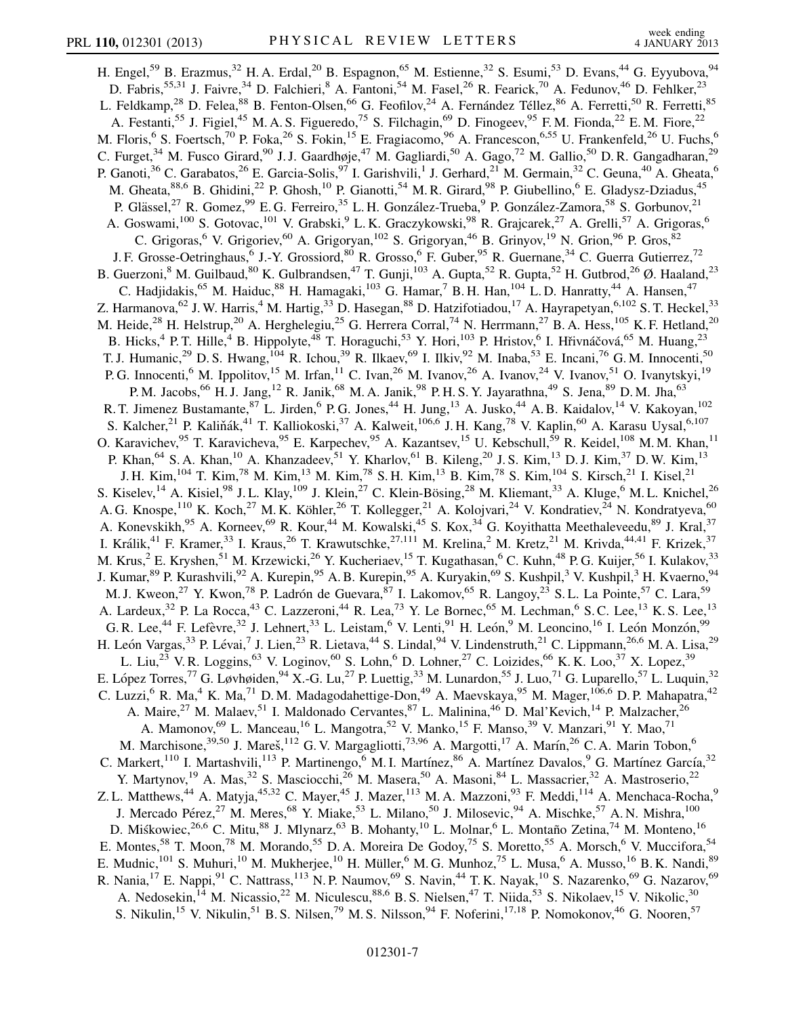H. Engel,<sup>59</sup> B. Erazmus,<sup>32</sup> H. A. Erdal,<sup>20</sup> B. Espagnon,<sup>65</sup> M. Estienne,<sup>32</sup> S. Esumi,<sup>53</sup> D. Evans,<sup>44</sup> G. Eyyubova,<sup>94</sup> D. Fabris,<sup>55,31</sup> J. Faivre,<sup>34</sup> D. Falchieri,<sup>8</sup> A. Fantoni,<sup>54</sup> M. Fasel,<sup>26</sup> R. Fearick,<sup>70</sup> A. Fedunov,<sup>46</sup> D. Fehlker,<sup>23</sup> L. Feldkamp,<sup>28</sup> D. Felea,<sup>88</sup> B. Fenton-Olsen,<sup>66</sup> G. Feofilov,<sup>24</sup> A. Fernández Téllez,<sup>86</sup> A. Ferretti,<sup>50</sup> R. Ferretti,<sup>85</sup> A. Festanti,<sup>55</sup> J. Figiel,<sup>45</sup> M. A. S. Figueredo,<sup>75</sup> S. Filchagin,<sup>69</sup> D. Finogeev,<sup>95</sup> F. M. Fionda,<sup>22</sup> E. M. Fiore,<sup>22</sup> M. Floris,<sup>6</sup> S. Foertsch,<sup>70</sup> P. Foka,<sup>26</sup> S. Fokin,<sup>15</sup> E. Fragiacomo,<sup>96</sup> A. Francescon,<sup>6,55</sup> U. Frankenfeld,<sup>26</sup> U. Fuchs,<sup>6</sup> C. Furget,<sup>34</sup> M. Fusco Girard,<sup>90</sup> J.J. Gaardhøje,<sup>47</sup> M. Gagliardi,<sup>50</sup> A. Gago,<sup>72</sup> M. Gallio,<sup>50</sup> D. R. Gangadharan,<sup>29</sup> P. Ganoti,<sup>36</sup> C. Garabatos,<sup>26</sup> E. Garcia-Solis,<sup>97</sup> I. Garishvili,<sup>1</sup> J. Gerhard,<sup>21</sup> M. Germain,<sup>32</sup> C. Geuna,<sup>40</sup> A. Gheata,<sup>6</sup> M. Gheata, <sup>88,6</sup> B. Ghidini, <sup>22</sup> P. Ghosh, <sup>10</sup> P. Gianotti, <sup>54</sup> M. R. Girard, <sup>98</sup> P. Giubellino, <sup>6</sup> E. Gladysz-Dziadus, <sup>45</sup> P. Glässel,<sup>27</sup> R. Gomez,<sup>99</sup> E. G. Ferreiro,<sup>35</sup> L. H. González-Trueba,<sup>9</sup> P. González-Zamora,<sup>58</sup> S. Gorbunov,<sup>21</sup> A. Goswami,<sup>100</sup> S. Gotovac,<sup>101</sup> V. Grabski,<sup>9</sup> L. K. Graczykowski,<sup>98</sup> R. Grajcarek,<sup>27</sup> A. Grelli,<sup>57</sup> A. Grigoras,<sup>6</sup> C. Grigoras,<sup>6</sup> V. Grigoriev,<sup>60</sup> A. Grigoryan,<sup>102</sup> S. Grigoryan,<sup>46</sup> B. Grinyov,<sup>19</sup> N. Grion,<sup>96</sup> P. Gros,  $\frac{82}{3}$ J. F. Grosse-Oetringhaus,<sup>6</sup> J.-Y. Grossiord,<sup>80</sup> R. Grosso,<sup>6</sup> F. Guber,<sup>95</sup> R. Guernane,<sup>34</sup> C. Guerra Gutierrez,<sup>72</sup> B. Guerzoni,<sup>8</sup> M. Guilbaud,<sup>80</sup> K. Gulbrandsen,<sup>47</sup> T. Gunji,<sup>103</sup> A. Gupta,<sup>52</sup> R. Gupta,<sup>52</sup> H. Gutbrod,<sup>26</sup> Ø. Haaland,<sup>23</sup> C. Hadjidakis,<sup>65</sup> M. Haiduc,<sup>88</sup> H. Hamagaki,<sup>103</sup> G. Hamar,<sup>7</sup> B. H. Han,<sup>104</sup> L. D. Hanratty,<sup>44</sup> A. Hansen,<sup>47</sup> Z. Harmanova, <sup>62</sup> J. W. Harris, <sup>4</sup> M. Hartig, <sup>33</sup> D. Hasegan, <sup>88</sup> D. Hatzifotiadou, <sup>17</sup> A. Hayrapetyan, <sup>6,102</sup> S. T. Heckel, <sup>33</sup> M. Heide,<sup>28</sup> H. Helstrup,<sup>20</sup> A. Herghelegiu,<sup>25</sup> G. Herrera Corral,<sup>74</sup> N. Herrmann,<sup>27</sup> B. A. Hess,<sup>105</sup> K. F. Hetland,<sup>20</sup> B. Hicks,<sup>4</sup> P. T. Hille,<sup>4</sup> B. Hippolyte,<sup>48</sup> T. Horaguchi,<sup>53</sup> Y. Hori,<sup>103</sup> P. Hristov,<sup>6</sup> I. Hřivnáčová,<sup>65</sup> M. Huang,<sup>23</sup> T. J. Humanic,<sup>29</sup> D. S. Hwang,<sup>104</sup> R. Ichou,<sup>39</sup> R. Ilkaev,<sup>69</sup> I. Ilkiv,<sup>92</sup> M. Inaba,<sup>53</sup> E. Incani,<sup>76</sup> G. M. Innocenti,<sup>50</sup> P. G. Innocenti,<sup>6</sup> M. Ippolitov,<sup>15</sup> M. Irfan,<sup>11</sup> C. Ivan,<sup>26</sup> M. Ivanov,<sup>26</sup> A. Ivanov,<sup>24</sup> V. Ivanov,<sup>51</sup> O. Ivanytskyi,<sup>19</sup> P. M. Jacobs,  $^{66}$  H. J. Jang,  $^{12}$  R. Janik,  $^{68}$  M. A. Janik,  $^{98}$  P. H. S. Y. Jayarathna,  $^{49}$  S. Jena,  $^{89}$  D. M. Jha,  $^{63}$ R. T. Jimenez Bustamante, <sup>87</sup> L. Jirden, <sup>6</sup> P. G. Jones, <sup>44</sup> H. Jung, <sup>13</sup> A. Jusko, <sup>44</sup> A. B. Kaidalov, <sup>14</sup> V. Kakoyan, <sup>102</sup> S. Kalcher,<sup>21</sup> P. Kaliňák,<sup>41</sup> T. Kalliokoski,<sup>37</sup> A. Kalweit,<sup>106,6</sup> J. H. Kang,<sup>78</sup> V. Kaplin,<sup>60</sup> A. Karasu Uysal,<sup>6,107</sup> O. Karavichev,<sup>95</sup> T. Karavicheva,<sup>95</sup> E. Karpechev,<sup>95</sup> A. Kazantsev,<sup>15</sup> U. Kebschull,<sup>59</sup> R. Keidel,<sup>108</sup> M. M. Khan,<sup>11</sup> P. Khan, <sup>64</sup> S. A. Khan, <sup>10</sup> A. Khanzadeev, <sup>51</sup> Y. Kharlov, <sup>61</sup> B. Kileng, <sup>20</sup> J. S. Kim, <sup>13</sup> D. J. Kim, <sup>37</sup> D. W. Kim, <sup>13</sup> J. H. Kim,  $^{104}$  T. Kim,  $^{78}$  M. Kim,  $^{13}$  M. Kim,  $^{78}$  S. H. Kim,  $^{13}$  B. Kim,  $^{78}$  S. Kim,  $^{104}$  S. Kirsch,  $^{21}$  I. Kisel,  $^{21}$ S. Kiselev,<sup>14</sup> A. Kisiel,<sup>98</sup> J. L. Klay,<sup>109</sup> J. Klein,<sup>27</sup> C. Klein-Bösing,<sup>28</sup> M. Kliemant,<sup>33</sup> A. Kluge,<sup>6</sup> M. L. Knichel,<sup>26</sup> A. G. Knospe,<sup>110</sup> K. Koch,<sup>27</sup> M. K. Köhler,<sup>26</sup> T. Kollegger,<sup>21</sup> A. Kolojvari,<sup>24</sup> V. Kondratiev,<sup>24</sup> N. Kondratyeva,<sup>60</sup> A. Konevskikh,<sup>95</sup> A. Korneev,<sup>69</sup> R. Kour,<sup>44</sup> M. Kowalski,<sup>45</sup> S. Kox,<sup>34</sup> G. Koyithatta Meethaleveedu,<sup>89</sup> J. Kral,<sup>37</sup> I. Králik,<sup>41</sup> F. Kramer,<sup>33</sup> I. Kraus,<sup>26</sup> T. Krawutschke,<sup>27,111</sup> M. Krelina,<sup>2</sup> M. Kretz,<sup>21</sup> M. Krivda,<sup>44,41</sup> F. Krizek,<sup>37</sup> M. Krus,<sup>2</sup> E. Kryshen,<sup>51</sup> M. Krzewicki,<sup>26</sup> Y. Kucheriaev,<sup>15</sup> T. Kugathasan,<sup>6</sup> C. Kuhn,<sup>48</sup> P. G. Kuijer,<sup>56</sup> I. Kulakov,<sup>33</sup> J. Kumar, <sup>89</sup> P. Kurashvili,<sup>92</sup> A. Kurepin,<sup>95</sup> A. B. Kurepin,<sup>95</sup> A. Kuryakin,<sup>69</sup> S. Kushpil,<sup>3</sup> V. Kushpil,<sup>3</sup> H. Kvaerno,<sup>94</sup> M. J. Kweon,<sup>27</sup> Y. Kwon,<sup>78</sup> P. Ladrón de Guevara,<sup>87</sup> I. Lakomov,<sup>65</sup> R. Langoy,<sup>23</sup> S. L. La Pointe,<sup>57</sup> C. Lara,<sup>59</sup> A. Lardeux,<sup>32</sup> P. La Rocca,<sup>43</sup> C. Lazzeroni,<sup>44</sup> R. Lea,<sup>73</sup> Y. Le Bornec,<sup>65</sup> M. Lechman,<sup>6</sup> S. C. Lee,<sup>13</sup> K. S. Lee,<sup>13</sup> G. R. Lee,<sup>44</sup> F. Lefèvre,<sup>32</sup> J. Lehnert,<sup>33</sup> L. Leistam,<sup>6</sup> V. Lenti,<sup>91</sup> H. León,<sup>9</sup> M. Leoncino,<sup>16</sup> I. León Monzón,<sup>99</sup> H. León Vargas,<sup>33</sup> P. Lévai,<sup>7</sup> J. Lien,<sup>23</sup> R. Lietava,<sup>44</sup> S. Lindal,<sup>94</sup> V. Lindenstruth,<sup>21</sup> C. Lippmann,<sup>26,6</sup> M. A. Lisa,<sup>29</sup> L. Liu,<sup>23</sup> V. R. Loggins,<sup>63</sup> V. Loginov,<sup>60</sup> S. Lohn,<sup>6</sup> D. Lohner,<sup>27</sup> C. Loizides,<sup>66</sup> K. K. Loo,<sup>37</sup> X. Lopez,<sup>39</sup> E. López Torres,<sup>77</sup> G. Løvhøiden,<sup>94</sup> X.-G. Lu,<sup>27</sup> P. Luettig,<sup>33</sup> M. Lunardon,<sup>55</sup> J. Luo,<sup>71</sup> G. Luparello,<sup>57</sup> L. Luquin,<sup>32</sup> C. Luzzi,<sup>6</sup> R. Ma,<sup>4</sup> K. Ma,<sup>71</sup> D. M. Madagodahettige-Don,<sup>49</sup> A. Maevskaya,<sup>95</sup> M. Mager,<sup>106,6</sup> D. P. Mahapatra,<sup>42</sup> A. Maire,<sup>27</sup> M. Malaev,<sup>51</sup> I. Maldonado Cervantes,<sup>87</sup> L. Malinina,<sup>46</sup> D. Mal'Kevich,<sup>14</sup> P. Malzacher,<sup>26</sup> A. Mamonov,<sup>69</sup> L. Manceau,<sup>16</sup> L. Mangotra,<sup>52</sup> V. Manko,<sup>15</sup> F. Manso,<sup>39</sup> V. Manzari,<sup>91</sup> Y. Mao,<sup>71</sup> M. Marchisone,<sup>39,50</sup> J. Mareš,<sup>112</sup> G.V. Margagliotti,<sup>73,96</sup> A. Margotti,<sup>17</sup> A. Marín,<sup>26</sup> C.A. Marin Tobon,<sup>6</sup> C. Markert,<sup>110</sup> I. Martashvili,<sup>113</sup> P. Martinengo,<sup>6</sup> M. I. Martínez,<sup>86</sup> A. Martínez Davalos,<sup>9</sup> G. Martínez García,<sup>32</sup> Y. Martynov,<sup>19</sup> A. Mas,<sup>32</sup> S. Masciocchi,<sup>26</sup> M. Masera,<sup>50</sup> A. Masoni,<sup>84</sup> L. Massacrier,<sup>32</sup> A. Mastroserio,<sup>22</sup> Z. L. Matthews,<sup>44</sup> A. Matyja,<sup>45,32</sup> C. Mayer,<sup>45</sup> J. Mazer,<sup>113</sup> M. A. Mazzoni,<sup>93</sup> F. Meddi,<sup>114</sup> A. Menchaca-Rocha,<sup>9</sup> J. Mercado Pérez,<sup>27</sup> M. Meres,<sup>68</sup> Y. Miake,<sup>53</sup> L. Milano,<sup>50</sup> J. Milosevic,<sup>94</sup> A. Mischke,<sup>57</sup> A. N. Mishra,<sup>100</sup> D. Miśkowiec,<sup>26,6</sup> C. Mitu,<sup>88</sup> J. Mlynarz,<sup>63</sup> B. Mohanty,<sup>10</sup> L. Molnar,<sup>6</sup> L. Montaño Zetina,<sup>74</sup> M. Monteno,<sup>16</sup> E. Montes,<sup>58</sup> T. Moon,<sup>78</sup> M. Morando,<sup>55</sup> D. A. Moreira De Godoy,<sup>75</sup> S. Moretto,<sup>55</sup> A. Morsch,<sup>6</sup> V. Muccifora,<sup>54</sup> E. Mudnic,<sup>101</sup> S. Muhuri,<sup>10</sup> M. Mukherjee,<sup>10</sup> H. Müller,<sup>6</sup> M. G. Munhoz,<sup>75</sup> L. Musa,<sup>6</sup> A. Musso,<sup>16</sup> B. K. Nandi,<sup>89</sup> R. Nania, <sup>17</sup> E. Nappi, <sup>91</sup> C. Nattrass, <sup>113</sup> N. P. Naumov, <sup>69</sup> S. Navin, <sup>44</sup> T. K. Nayak, <sup>10</sup> S. Nazarenko, <sup>69</sup> G. Nazarov, <sup>69</sup> A. Nedosekin, <sup>14</sup> M. Nicassio, <sup>22</sup> M. Niculescu, <sup>88,6</sup> B. S. Nielsen, <sup>47</sup> T. Niida, <sup>53</sup> S. Nikolaev, <sup>15</sup> V. Nikolic, <sup>30</sup> S. Nikulin,<sup>15</sup> V. Nikulin,<sup>51</sup> B. S. Nilsen,<sup>79</sup> M. S. Nilsson,<sup>94</sup> F. Noferini,<sup>17,18</sup> P. Nomokonov,<sup>46</sup> G. Nooren,<sup>57</sup>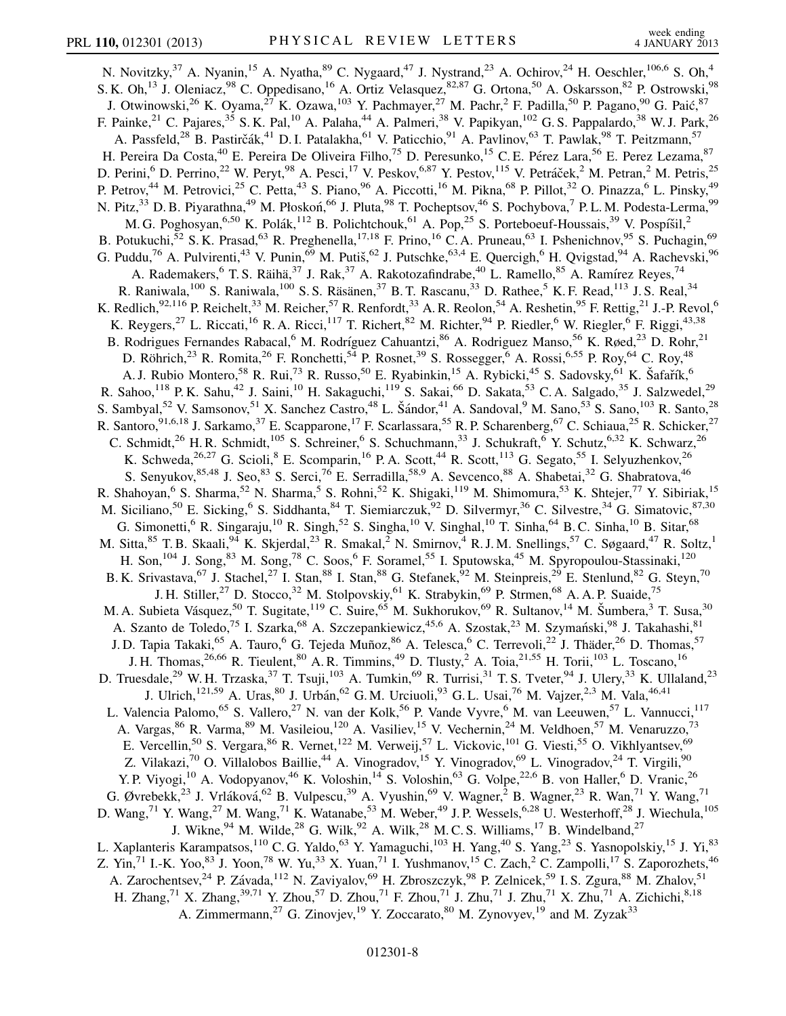N. Novitzky,<sup>37</sup> A. Nyanin,<sup>15</sup> A. Nyatha,<sup>89</sup> C. Nygaard,<sup>47</sup> J. Nystrand,<sup>23</sup> A. Ochirov,<sup>24</sup> H. Oeschler,<sup>106,6</sup> S. Oh,<sup>4</sup> S. K. Oh,<sup>13</sup> J. Oleniacz,<sup>98</sup> C. Oppedisano,<sup>16</sup> A. Ortiz Velasquez,<sup>82,87</sup> G. Ortona,<sup>50</sup> A. Oskarsson,<sup>82</sup> P. Ostrowski,<sup>98</sup> J. Otwinowski,<sup>26</sup> K. Oyama,<sup>27</sup> K. Ozawa,<sup>103</sup> Y. Pachmayer,<sup>27</sup> M. Pachr,<sup>2</sup> F. Padilla,<sup>50</sup> P. Pagano,<sup>90</sup> G. Paić,<sup>87</sup> F. Painke,<sup>21</sup> C. Pajares,<sup>35</sup> S. K. Pal,<sup>10</sup> A. Palaha,<sup>44</sup> A. Palmeri,<sup>38</sup> V. Papikyan,<sup>102</sup> G. S. Pappalardo,<sup>38</sup> W. J. Park,<sup>26</sup> A. Passfeld,<sup>28</sup> B. Pastirčák,<sup>41</sup> D. I. Patalakha,<sup>61</sup> V. Paticchio,<sup>91</sup> A. Pavlinov,<sup>63</sup> T. Pawlak,<sup>98</sup> T. Peitzmann,<sup>57</sup> H. Pereira Da Costa,<sup>40</sup> E. Pereira De Oliveira Filho,<sup>75</sup> D. Peresunko,<sup>15</sup> C. E. Pérez Lara,<sup>56</sup> E. Perez Lezama,<sup>87</sup> D. Perini,<sup>6</sup> D. Perrino,<sup>22</sup> W. Peryt,<sup>98</sup> A. Pesci,<sup>17</sup> V. Peskov,<sup>6,87</sup> Y. Pestov,<sup>115</sup> V. Petráček,<sup>2</sup> M. Petran,<sup>2</sup> M. Petris,<sup>25</sup> P. Petrov,<sup>44</sup> M. Petrovici,<sup>25</sup> C. Petta,<sup>43</sup> S. Piano,<sup>96</sup> A. Piccotti,<sup>16</sup> M. Pikna,<sup>68</sup> P. Pillot,<sup>32</sup> O. Pinazza,<sup>6</sup> L. Pinsky,<sup>49</sup> N. Pitz,<sup>33</sup> D. B. Piyarathna,<sup>49</sup> M. Płoskoń,<sup>66</sup> J. Pluta,<sup>98</sup> T. Pocheptsov,<sup>46</sup> S. Pochybova,<sup>7</sup> P. L. M. Podesta-Lerma,<sup>99</sup> M. G. Poghosyan, <sup>6,50</sup> K. Polák, <sup>112</sup> B. Polichtchouk, <sup>61</sup> A. Pop, <sup>25</sup> S. Porteboeuf-Houssais, <sup>39</sup> V. Pospíšil, <sup>2</sup> B. Potukuchi,<sup>52</sup> S. K. Prasad,<sup>63</sup> R. Preghenella,<sup>17,18</sup> F. Prino,<sup>16</sup> C. A. Pruneau,<sup>63</sup> I. Pshenichnov,<sup>95</sup> S. Puchagin,<sup>69</sup> G. Puddu, <sup>76</sup> A. Pulvirenti, <sup>43</sup> V. Punin, <sup>69</sup> M. Putiš, <sup>62</sup> J. Putschke, <sup>63,4</sup> E. Quercigh, <sup>6</sup> H. Qvigstad, <sup>94</sup> A. Rachevski, <sup>96</sup> A. Rademakers, <sup>6</sup> T. S. Räihä, <sup>37</sup> J. Rak, <sup>37</sup> A. Rakotozafindrabe, <sup>40</sup> L. Ramello, <sup>85</sup> A. Ramírez Reyes, <sup>74</sup> R. Raniwala,<sup>100</sup> S. Raniwala,<sup>100</sup> S. S. Rassanen,<sup>37</sup> B. T. Rascanu,<sup>33</sup> D. Rathee,<sup>5</sup> K. F. Read,<sup>113</sup> J. S. Real,<sup>34</sup> K. Redlich,<sup>92,116</sup> P. Reichelt,<sup>33</sup> M. Reicher,<sup>57</sup> R. Renfordt,<sup>33</sup> A. R. Reolon,<sup>54</sup> A. Reshetin,<sup>95</sup> F. Rettig,<sup>21</sup> J.-P. Revol,<sup>6</sup> K. Reygers,<sup>27</sup> L. Riccati,<sup>16</sup> R. A. Ricci,<sup>117</sup> T. Richert,<sup>82</sup> M. Richter,<sup>94</sup> P. Riedler,<sup>6</sup> W. Riegler,<sup>6</sup> F. Riggi,<sup>43,38</sup> B. Rodrigues Fernandes Rabacal,<sup>6</sup> M. Rodríguez Cahuantzi,<sup>86</sup> A. Rodriguez Manso,<sup>56</sup> K. Røed,<sup>23</sup> D. Rohr,<sup>21</sup> D. Röhrich,<sup>23</sup> R. Romita,<sup>26</sup> F. Ronchetti,<sup>54</sup> P. Rosnet,<sup>39</sup> S. Rossegger,<sup>6</sup> A. Rossi,<sup>6,55</sup> P. Roy,<sup>64</sup> C. Roy,<sup>48</sup> A. J. Rubio Montero,<sup>58</sup> R. Rui,<sup>73</sup> R. Russo,<sup>50</sup> E. Ryabinkin,<sup>15</sup> A. Rybicki,<sup>45</sup> S. Sadovsky,<sup>61</sup> K. Šafařík,<sup>6</sup> R. Sahoo,  $^{118}$  P. K. Sahu,  $^{42}$  J. Saini,  $^{10}$  H. Sakaguchi,  $^{119}$  S. Sakai,  $^{66}$  D. Sakata,  $^{53}$  C. A. Salgado,  $^{35}$  J. Salzwedel,  $^{29}$ S. Sambyal,<sup>52</sup> V. Samsonov,<sup>51</sup> X. Sanchez Castro,<sup>48</sup> L. Šándor,<sup>41</sup> A. Sandoval,<sup>9</sup> M. Sano,<sup>53</sup> S. Sano,<sup>103</sup> R. Santo,<sup>28</sup> R. Santoro, <sup>91,6,18</sup> J. Sarkamo, <sup>37</sup> E. Scapparone, <sup>17</sup> F. Scarlassara, <sup>55</sup> R. P. Scharenberg, <sup>67</sup> C. Schiaua, <sup>25</sup> R. Schicker, <sup>27</sup> C. Schmidt,<sup>26</sup> H. R. Schmidt,<sup>105</sup> S. Schreiner,<sup>6</sup> S. Schuchmann,<sup>33</sup> J. Schukraft,<sup>6</sup> Y. Schutz,<sup>6,32</sup> K. Schwarz,<sup>26</sup> K. Schweda,<sup>26,27</sup> G. Scioli,<sup>8</sup> E. Scomparin,<sup>16</sup> P. A. Scott,<sup>44</sup> R. Scott,<sup>113</sup> G. Segato,<sup>55</sup> I. Selyuzhenkov,<sup>26</sup> S. Senyukov,<sup>85,48</sup> J. Seo,<sup>83</sup> S. Serci,<sup>76</sup> E. Serradilla,<sup>58,9</sup> A. Sevcenco,<sup>88</sup> A. Shabetai,<sup>32</sup> G. Shabratova,<sup>46</sup> R. Shahoyan,<sup>6</sup> S. Sharma,<sup>52</sup> N. Sharma,<sup>5</sup> S. Rohni,<sup>52</sup> K. Shigaki,<sup>119</sup> M. Shimomura,<sup>53</sup> K. Shtejer,<sup>77</sup> Y. Sibiriak,<sup>15</sup> M. Siciliano,<sup>50</sup> E. Sicking,<sup>6</sup> S. Siddhanta,<sup>84</sup> T. Siemiarczuk,<sup>92</sup> D. Silvermyr,<sup>36</sup> C. Silvestre,<sup>34</sup> G. Simatovic,<sup>87,30</sup> G. Simonetti,<sup>6</sup> R. Singaraju,<sup>10</sup> R. Singh,<sup>52</sup> S. Singha,<sup>10</sup> V. Singhal,<sup>10</sup> T. Sinha,<sup>64</sup> B. C. Sinha,<sup>10</sup> B. Sitar,<sup>68</sup> M. Sitta,<sup>85</sup> T. B. Skaali,<sup>94</sup> K. Skjerdal,<sup>23</sup> R. Smakal,<sup>2</sup> N. Smirnov,<sup>4</sup> R. J. M. Snellings,<sup>57</sup> C. Søgaard,<sup>47</sup> R. Soltz,<sup>1</sup> H. Son,<sup>104</sup> J. Song,<sup>83</sup> M. Song,<sup>78</sup> C. Soos,<sup>6</sup> F. Soramel,<sup>55</sup> I. Sputowska,<sup>45</sup> M. Spyropoulou-Stassinaki,<sup>120</sup> B. K. Srivastava, <sup>67</sup> J. Stachel, <sup>27</sup> I. Stan, <sup>88</sup> I. Stan, <sup>88</sup> G. Stefanek, <sup>92</sup> M. Steinpreis, <sup>29</sup> E. Stenlund, <sup>82</sup> G. Steyn, <sup>70</sup> J. H. Stiller,<sup>27</sup> D. Stocco,<sup>32</sup> M. Stolpovskiy,<sup>61</sup> K. Strabykin,<sup>69</sup> P. Strmen,<sup>68</sup> A. A. P. Suaide,<sup>75</sup> M. A. Subieta Vásquez,<sup>50</sup> T. Sugitate,<sup>119</sup> C. Suire,<sup>65</sup> M. Sukhorukov,<sup>69</sup> R. Sultanov,<sup>14</sup> M. Šumbera,<sup>3</sup> T. Susa,<sup>30</sup> A. Szanto de Toledo,<sup>75</sup> I. Szarka,<sup>68</sup> A. Szczepankiewicz,<sup>45,6</sup> A. Szostak,<sup>23</sup> M. Szymański,<sup>98</sup> J. Takahashi,<sup>81</sup> J. D. Tapia Takaki,<sup>65</sup> A. Tauro,<sup>6</sup> G. Tejeda Muñoz,<sup>86</sup> A. Telesca,<sup>6</sup> C. Terrevoli,<sup>22</sup> J. Thäder,<sup>26</sup> D. Thomas,<sup>57</sup> J. H. Thomas,  $^{26,66}$  R. Tieulent,  $^{80}$  A. R. Timmins,  $^{49}$  D. Tlusty,  $^2$  A. Toia,  $^{21,55}$  H. Torii,  $^{103}$  L. Toscano,  $^{16}$ D. Truesdale,<sup>29</sup> W. H. Trzaska,<sup>37</sup> T. Tsuji,<sup>103</sup> A. Tumkin,<sup>69</sup> R. Turrisi,<sup>31</sup> T. S. Tveter,<sup>94</sup> J. Ulery,<sup>33</sup> K. Ullaland,<sup>23</sup> J. Ulrich,<sup>121,59</sup> A. Uras,<sup>80</sup> J. Urbán,<sup>62</sup> G. M. Urciuoli,<sup>93</sup> G. L. Usai,<sup>76</sup> M. Vajzer,<sup>2,3</sup> M. Vala,<sup>46,41</sup> L. Valencia Palomo,<sup>65</sup> S. Vallero,<sup>27</sup> N. van der Kolk,<sup>56</sup> P. Vande Vyvre,<sup>6</sup> M. van Leeuwen,<sup>57</sup> L. Vannucci,<sup>117</sup> A. Vargas, <sup>86</sup> R. Varma, <sup>89</sup> M. Vasileiou, <sup>120</sup> A. Vasiliev, <sup>15</sup> V. Vechernin, <sup>24</sup> M. Veldhoen, <sup>57</sup> M. Venaruzzo, <sup>73</sup> E. Vercellin,<sup>50</sup> S. Vergara,<sup>86</sup> R. Vernet,<sup>122</sup> M. Verweij,<sup>57</sup> L. Vickovic,<sup>101</sup> G. Viesti,<sup>55</sup> O. Vikhlyantsev,<sup>69</sup> Z. Vilakazi,<sup>70</sup> O. Villalobos Baillie,<sup>44</sup> A. Vinogradov,<sup>15</sup> Y. Vinogradov,<sup>69</sup> L. Vinogradov,<sup>24</sup> T. Virgili,<sup>90</sup> Y. P. Viyogi,<sup>10</sup> A. Vodopyanov,<sup>46</sup> K. Voloshin,<sup>14</sup> S. Voloshin,<sup>63</sup> G. Volpe,<sup>22,6</sup> B. von Haller,<sup>6</sup> D. Vranic,<sup>26</sup> G. Øvrebekk,<sup>23</sup> J. Vrláková,<sup>62</sup> B. Vulpescu,<sup>39</sup> A. Vyushin,<sup>69</sup> V. Wagner,<sup>2</sup> B. Wagner,<sup>23</sup> R. Wan,<sup>71</sup> Y. Wang,<sup>71</sup> D. Wang,  $^{71}$  Y. Wang,  $^{27}$  M. Wang,  $^{71}$  K. Watanabe,  $^{53}$  M. Weber,  $^{49}$  J. P. Wessels,  $^{6,28}$  U. Westerhoff,  $^{28}$  J. Wiechula,  $^{105}$ J. Wikne, <sup>94</sup> M. Wilde, <sup>28</sup> G. Wilk, <sup>92</sup> A. Wilk, <sup>28</sup> M. C. S. Williams, <sup>17</sup> B. Windelband, <sup>27</sup> L. Xaplanteris Karampatsos,<sup>110</sup> C.G. Yaldo,<sup>63</sup> Y. Yamaguchi,<sup>103</sup> H. Yang,<sup>40</sup> S. Yang,<sup>23</sup> S. Yasnopolskiy,<sup>15</sup> J. Yi,<sup>83</sup> Z. Yin,<sup>71</sup> I.-K. Yoo,<sup>83</sup> J. Yoon,<sup>78</sup> W. Yu,<sup>33</sup> X. Yuan,<sup>71</sup> I. Yushmanov,<sup>15</sup> C. Zach,<sup>2</sup> C. Zampolli,<sup>17</sup> S. Zaporozhets,<sup>46</sup> A. Zarochentsev,<sup>24</sup> P. Závada,<sup>112</sup> N. Zaviyalov,<sup>69</sup> H. Zbroszczyk,<sup>98</sup> P. Zelnicek,<sup>59</sup> I. S. Zgura,<sup>88</sup> M. Zhalov,<sup>51</sup> H. Zhang,<sup>71</sup> X. Zhang,<sup>39,71</sup> Y. Zhou,<sup>57</sup> D. Zhou,<sup>71</sup> F. Zhou,<sup>71</sup> J. Zhu,<sup>71</sup> J. Zhu,<sup>71</sup> X. Zhu,<sup>71</sup> A. Zichichi,<sup>8,18</sup> A. Zimmermann,<sup>27</sup> G. Zinovjev,<sup>19</sup> Y. Zoccarato,<sup>80</sup> M. Zynovyev,<sup>19</sup> and M. Zyzak<sup>33</sup>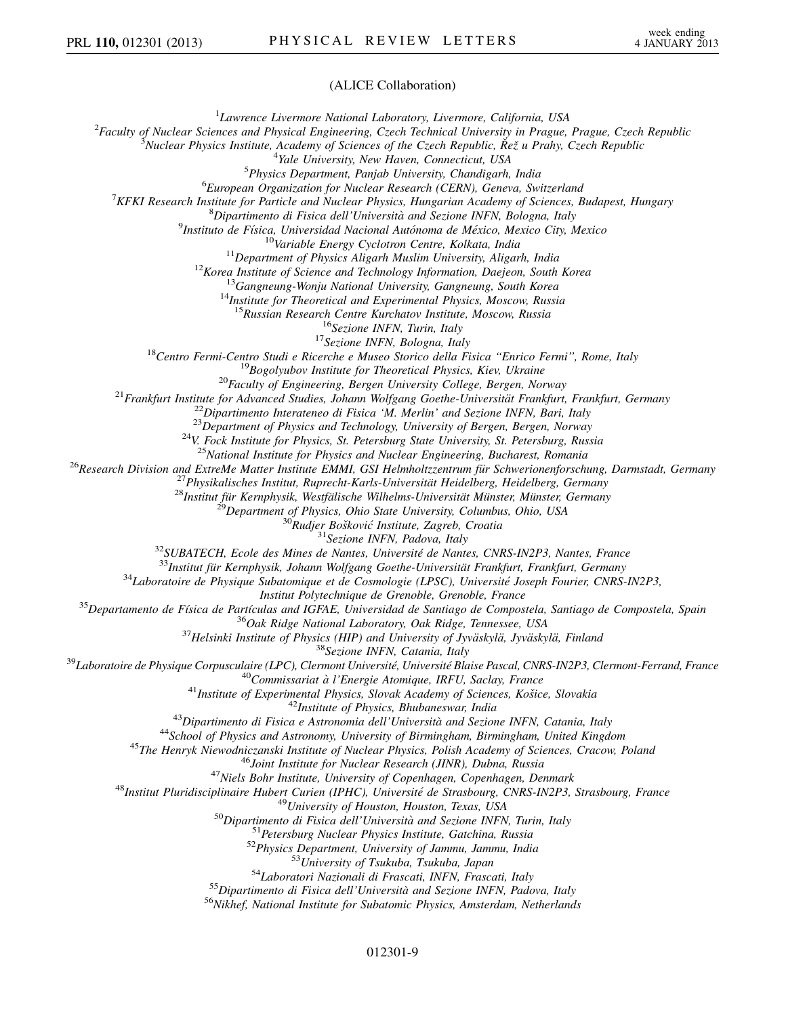(ALICE Collaboration)

 ${}^{1}$ Lawrence Livermore National Laboratory, Livermore, California, USA

Faculty of Nuclear Sciences and Physical Engineering, Czech Technical University in Prague, Prague, Czech Republic<br><sup>3</sup>Nuclear Physics Institute, Academy of Sciences of the Czech Republic *Peč u Prahy Czech Republic*  $\delta$ Nuclear Physics Institute, Academy of Sciences of the Czech Republic, Řež $u$  Prahy, Czech Republic <sup>4</sup>Yale University, New Haven, Connecticut, USA

<sup>1</sup>Lawrence Livermore National Laboratory, Livermore, California, USA<br><sup>2</sup>Eaculty of Nuclear Sciences and Physical Engineering, Czech Technical University in Prague

<sup>5</sup> Physics Department, Panjab University, Chandigarh, India 6<br><sup>6</sup> European Organization for Nuclear Research (CERN), Geneva, Switzerland <sup>6</sup>European Organization for Nuclear Research (CERN), Geneva, Switzerland<br><sup>7</sup>KEKL Research Institute for Particle and Nuclear Physics, Hungarian Academy of Sciences, E KFKI Research Institute for Particle and Nuclear Physics, Hungarian Academy of Sciences, Budapest, Hungary<br><sup>8</sup>Dinartimento di Fisica dell'Università and Sazione INEN, Bologna, Italy  ${}^{8}$ Dipartimento di Fisica dell'Università and Sezione INFN, Bologna, Italy  ${}^{9}$ Instituto de Física, Universidad Nacional Autónoma de México, Mexico City, Mexico <sup>10</sup>Variable Energy Cyclotron Centre, Kolkata, India<br><sup>11</sup>Department of Physics Aligarh Muslim University, Aligarh, India<br><sup>12</sup>Korea Institute of Science and Technology Information, Daejeon, South Korea<br><sup>13</sup>Gangneung-Wonju <sup>16</sup>Sezione INFN, Turin, Italy<br><sup>17</sup>Sezione INFN, Bologna, Italy<br><sup>17</sup>Sezione INFN, Bologna, Italy<br><sup>19</sup>Bogolyubov Institute for Theoretical Physics, Kiev, Ukraine<br><sup>19</sup>Bogolyubov Institute for Theoretical Physics, Kiev, Ukra <sup>26</sup>Research Division and ExtreMe Matter Institute EMMI, GSI Helmholtzzentrum für Schwerionenforschung, Darmstadt, Germany<br><sup>27</sup> Physikalisches Institut, Ruprecht-Karls-Universität Heidelberg, Heidelberg, Germany<br><sup>28</sup> Inst <sup>35</sup> Departamento de Física de Partículas and IGFAE, Universidad de Samtiago de Compostela, Santiago de Compostela, Spain<br><sup>36</sup> Dak Ridge National Laboratory, Oak Ridge, Temessee, USA<br><sup>35</sup> Helsinki Institute of Physics (HI 012301-9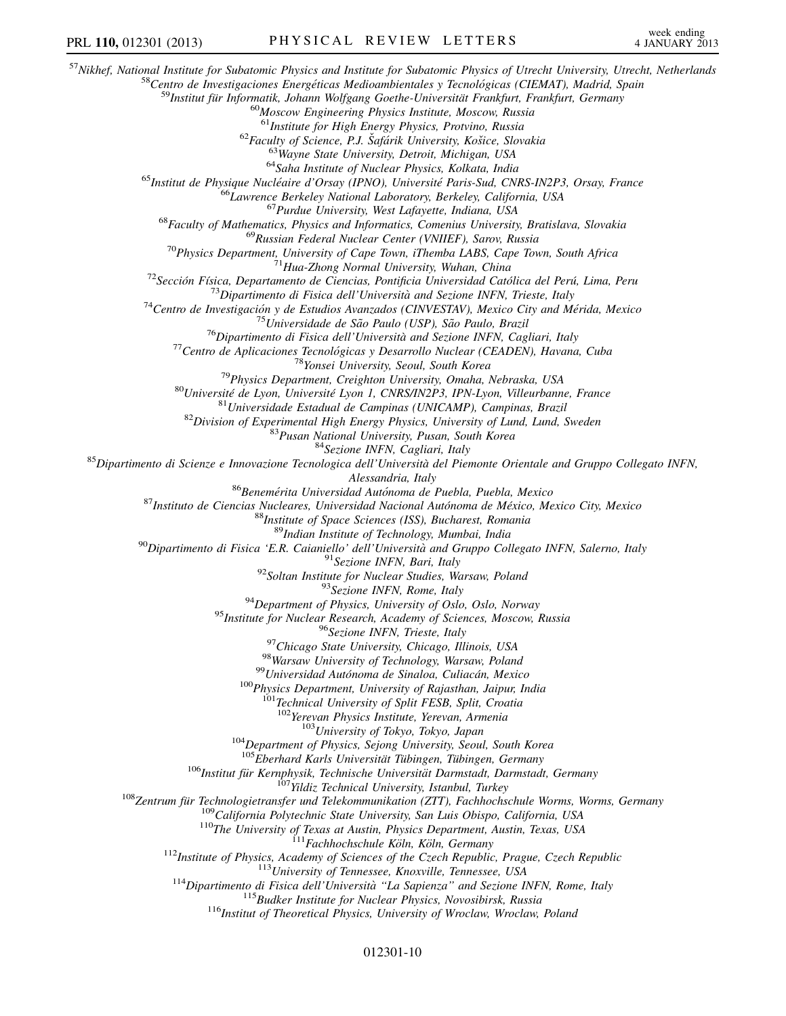<sup>57</sup>Nikhef, National Institute for Subatomic Physics and Institute for Subatomic Physics of Utrecht University, Utrecht, Netherlands<br><sup>58</sup>Centro de Investigaciones Energéticas Medioambientales y Tecnológicas (CIEMAT), Madr <sup>63</sup> Faritute for High Energy Physics, Pentruino, Russia<br>
<sup>63</sup> Faritute of Science, P.I. Saftärik University, Košice, Slovakia<br>
<sup>63</sup> Faritute University of Science Physics, Kokaia, India<br>
<sup>63</sup> Faritute Physique Nuclear d'O Alessandria, Italy<br>
<sup>86</sup>Benemérita Universidad Atacional a Puebla, Puebla, Mexico<br>
<sup>85</sup>Instituto de Ciencias Nucleares, Universidad Nacional Autónoma de México, Mexico City, Mexico<br>
<sup>88</sup>Institute of Space Sciences (ISS), B <sup>102</sup>Yerevan Physics Institute, Yerevan, Armenia<br><sup>103</sup>University of Tokyo, Tokyo, Japan<br><sup>104</sup>Department of Physics, Sejong University, Seoul, South Korea<br><sup>105</sup>Eberhard Karls Universität Tübingen, Tübingen, Germany <sup>106</sup>Institut für Kernphysik, Technische Universität Darmstadt, Darmstadt, Germany<br><sup>107</sup>Institut für Kernphysik, Technical University, Istanbul, Turkey<br><sup>108</sup>Zentrum für Technologietransfer und Telekommunikation (ZTT), Fac